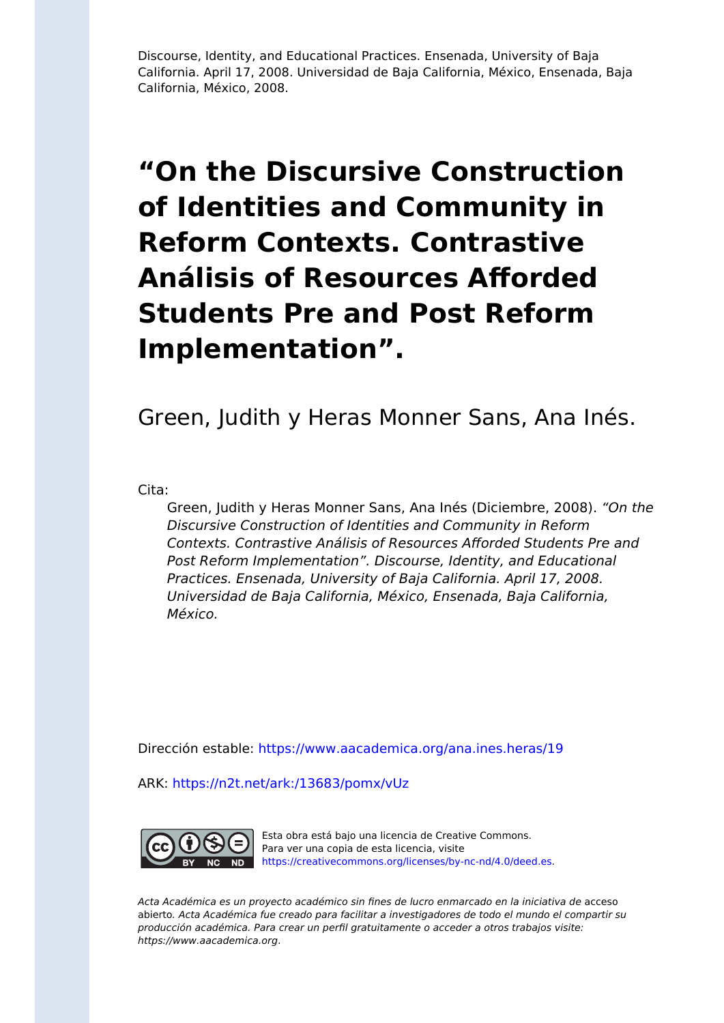Discourse, Identity, and Educational Practices. Ensenada, University of Baja California. April 17, 2008. Universidad de Baja California, México, Ensenada, Baja California, México, 2008.

#### **"On the Discursive Construction of Identities and Community in Reform Contexts. Contrastive Análisis of Resources Afforded Students Pre and Post Reform Implementation".**

Green, Judith y Heras Monner Sans, Ana Inés.

Cita:

Green, Judith y Heras Monner Sans, Ana Inés (Diciembre, 2008). "On the Discursive Construction of Identities and Community in Reform Contexts. Contrastive Análisis of Resources Afforded Students Pre and Post Reform Implementation". Discourse, Identity, and Educational Practices. Ensenada, University of Baja California. April 17, 2008. Universidad de Baja California, México, Ensenada, Baja California, México.

Dirección estable:<https://www.aacademica.org/ana.ines.heras/19>

ARK: <https://n2t.net/ark:/13683/pomx/vUz>



Esta obra está bajo una licencia de Creative Commons. Para ver una copia de esta licencia, visite [https://creativecommons.org/licenses/by-nc-nd/4.0/deed.es.](https://creativecommons.org/licenses/by-nc-nd/4.0/deed.es)

Acta Académica es un proyecto académico sin fines de lucro enmarcado en la iniciativa de acceso abierto. Acta Académica fue creado para facilitar a investigadores de todo el mundo el compartir su producción académica. Para crear un perfil gratuitamente o acceder a otros trabajos visite: https://www.aacademica.org.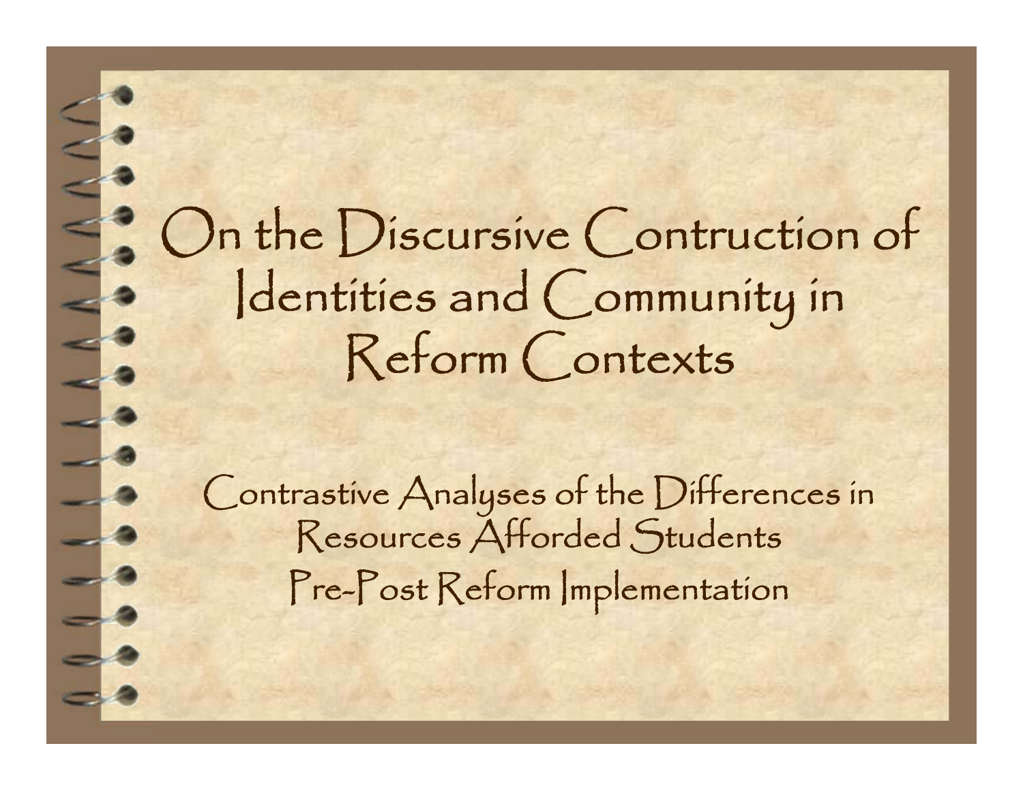On the Discursive Contruction of Identities and Community in Reform Contexts

 $\leq$ 

 $\frac{1}{1}$ 

Contrastive Analyses of the Differences in Resources Afforded Students Pre-Post Reform Implementation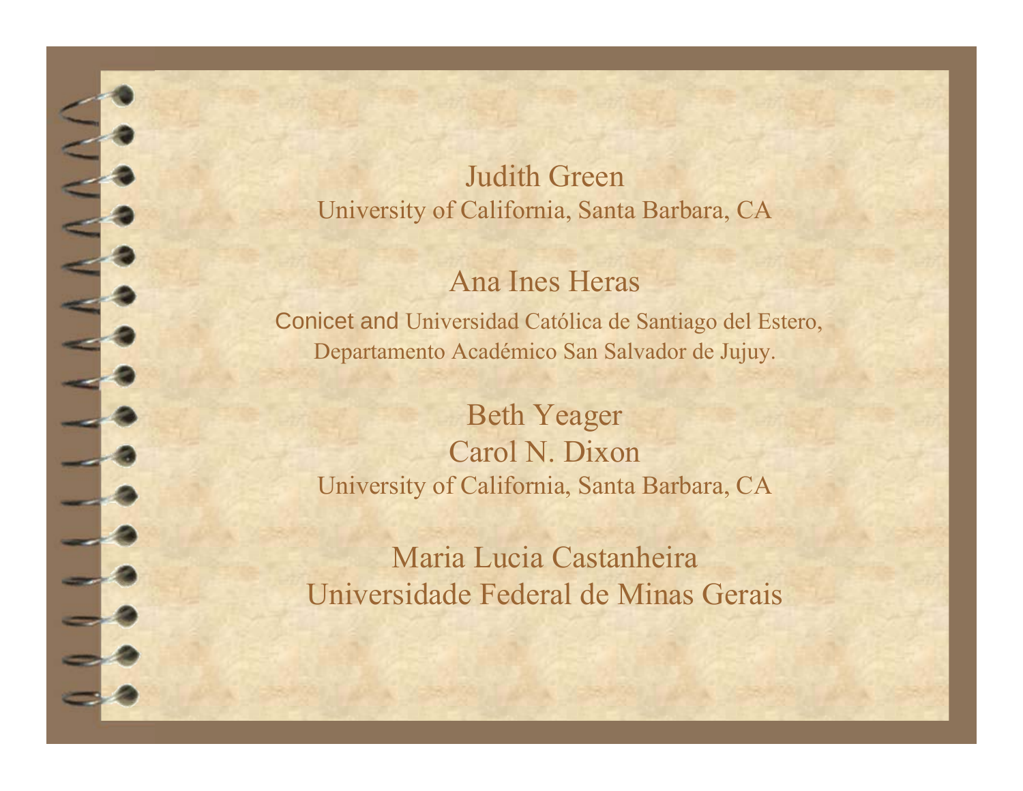Judith GreenUniversity of California, Santa Barbara, CA

#### Ana Ines Heras

Conicet and Universidad Católica de Santiago del Estero, Departamento Académico San Salvador de Jujuy.

Beth Yeager Carol N. Dixon University of California, Santa Barbara, CA

Maria Lucia Castanheira Universidade Federal de Minas Gerais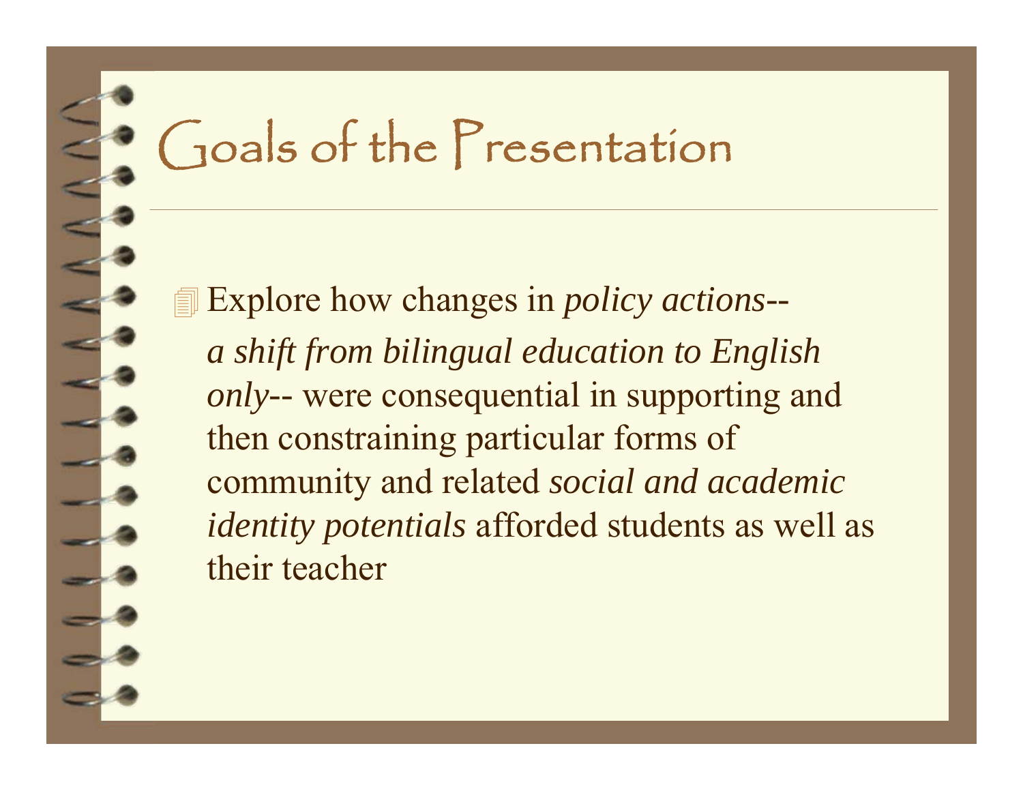### Goals of the Presentation

 Explore how changes in *policy actions- a shift from bilingual education to English only--* were consequential in supporting and then constraining particular forms of community and related *social and academic identity potentials* afforded students as well as their teacher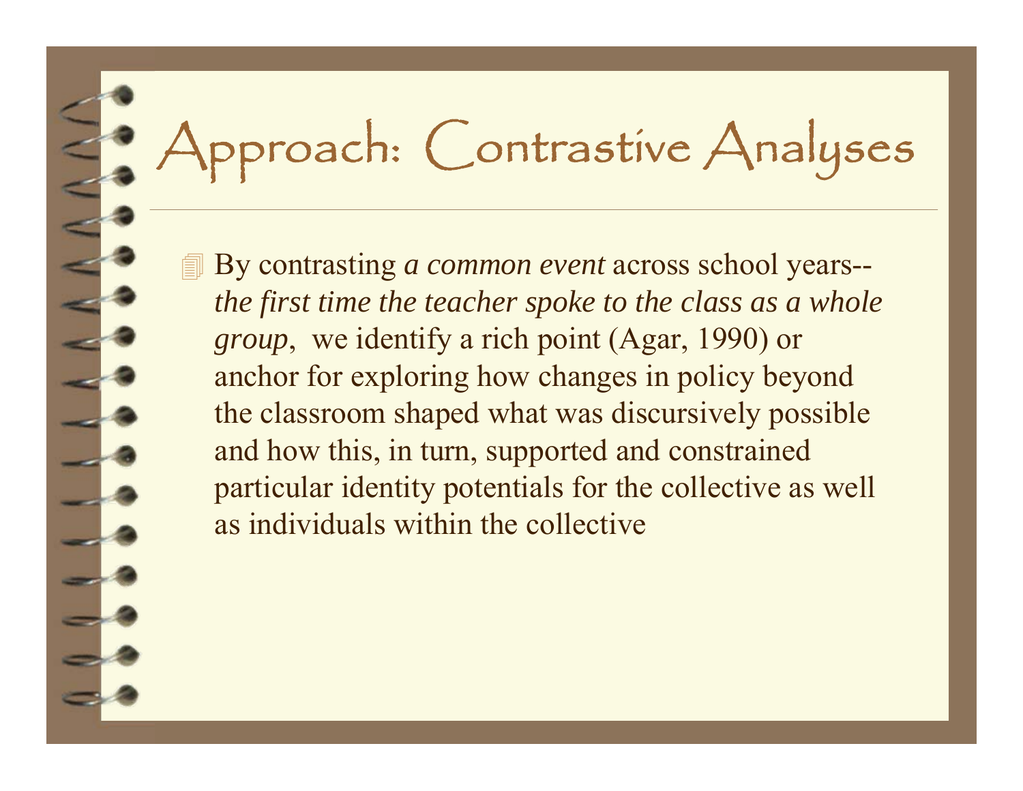# Approach: Contrastive Analyses

 By contrasting *a common event* across school years- *the first time the teacher spoke to the class as a whole group*, we identify a rich point (Agar, 1990) or anchor for exploring how changes in policy beyond the classroom shaped what was discursively possible and how this, in turn, supported and constrained particular identity potentials for the collective as well as individuals within the collective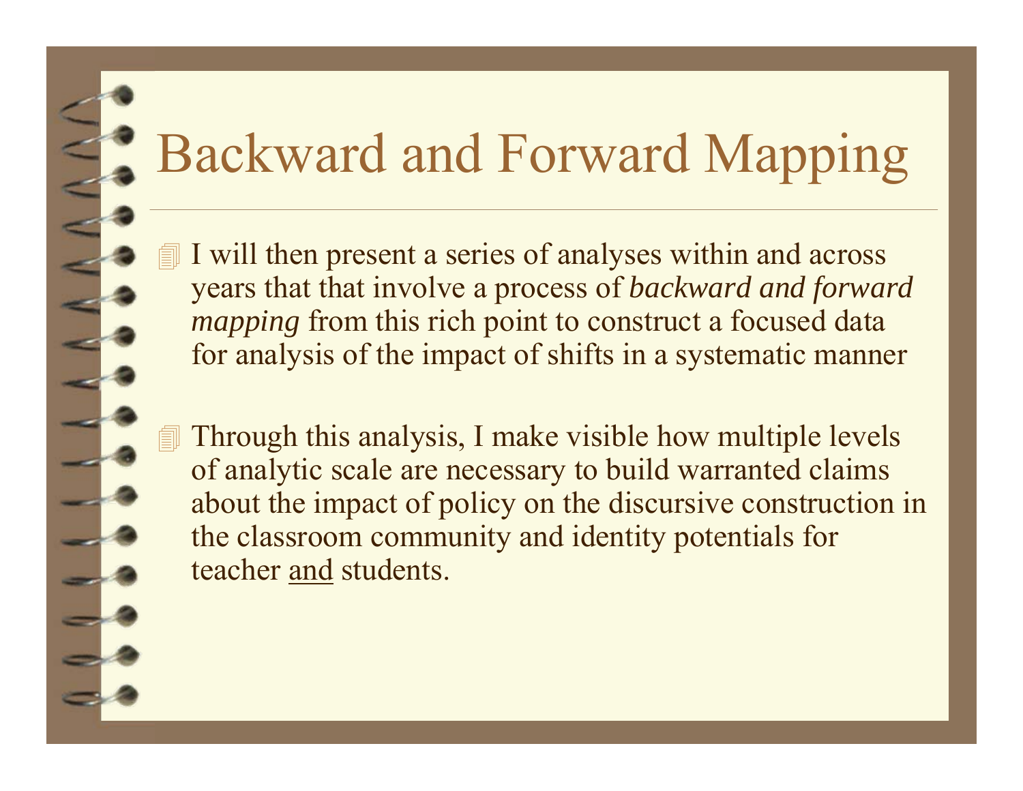### Backward and Forward Mapping

 I will then present a series of analyses within and across years that that involve a process of *backward and forward mapping* from this rich point to construct a focused data for analysis of the impact of shifts in a systematic manner

 Through this analysis, I make visible how multiple levels of analytic scale are necessary to build warranted claims about the impact of policy on the discursive construction in the classroom community and identity potentials for teacher and students.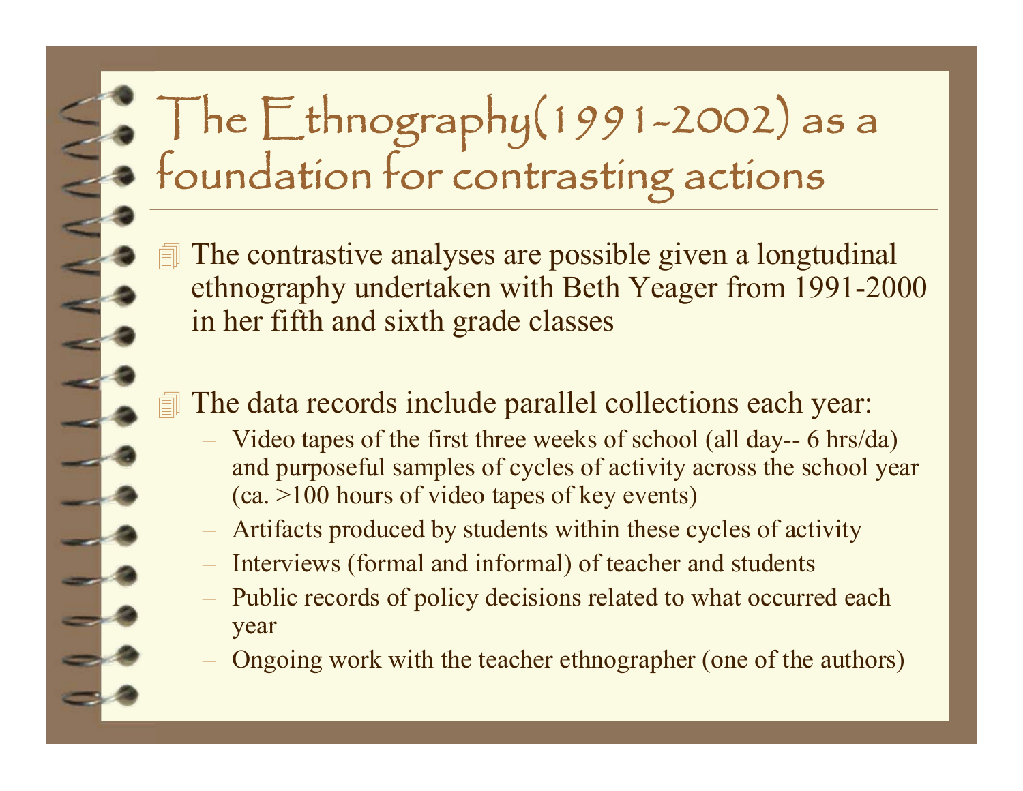# The Ethnography(1991-2002) as a foundation for contrasting actions

 The contrastive analyses are possible given a longtudinal ethnography undertaken with Beth Yeager from 1991-2000 in her fifth and sixth grade classes

#### **If** The data records include parallel collections each year:

- Video tapes of the first three weeks of school (all day-- 6 hrs/da) and purposeful samples of cycles of activity across the school year (ca. >100 hours of video tapes of key events)
- –Artifacts produced by students within these cycles of activity
- –Interviews (formal and informal) of teacher and students
- $\equiv$  Public records of policy decisions related to what occurred each year
- Ongoing work with the teacher ethnographer (one of the authors)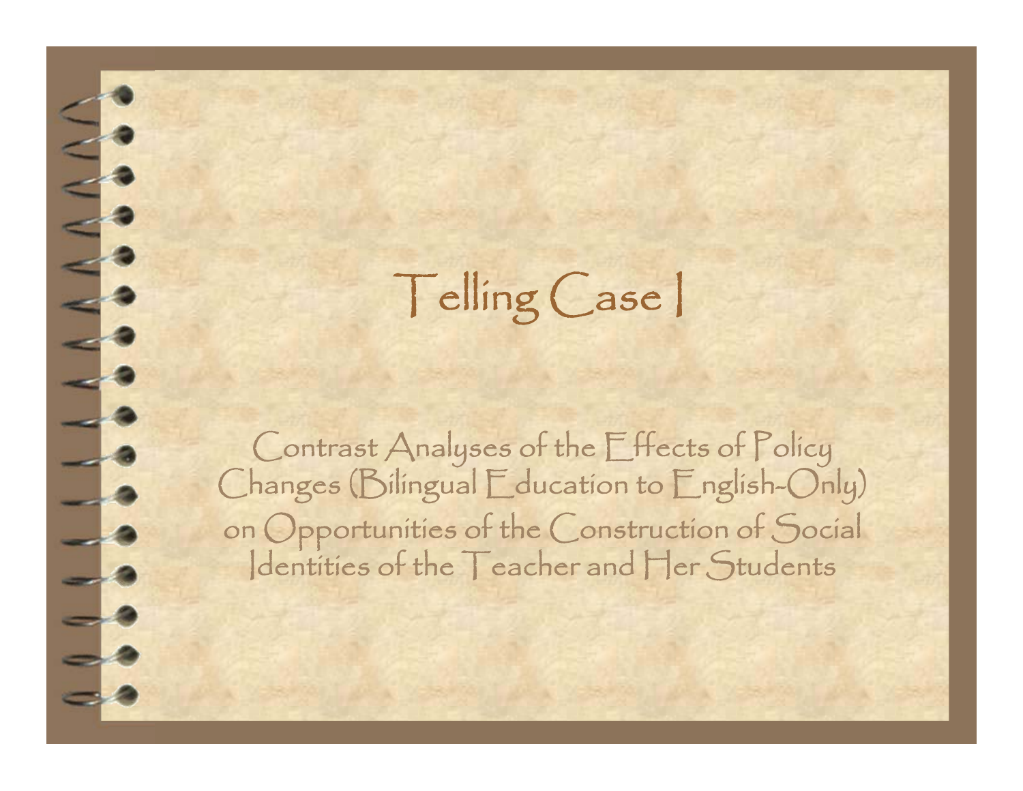Telling Case I

 $\overline{\phantom{a}}$ 

 $-4$ 

 $-4$ 

 $\Rightarrow$  8

 $\Rightarrow$  2

Contrast Analyses of the Effects of Policy Changes (Bilingual Education to English-Only) on Opportunities of the Construction of Social<br>|dentities of the Teacher and Her Students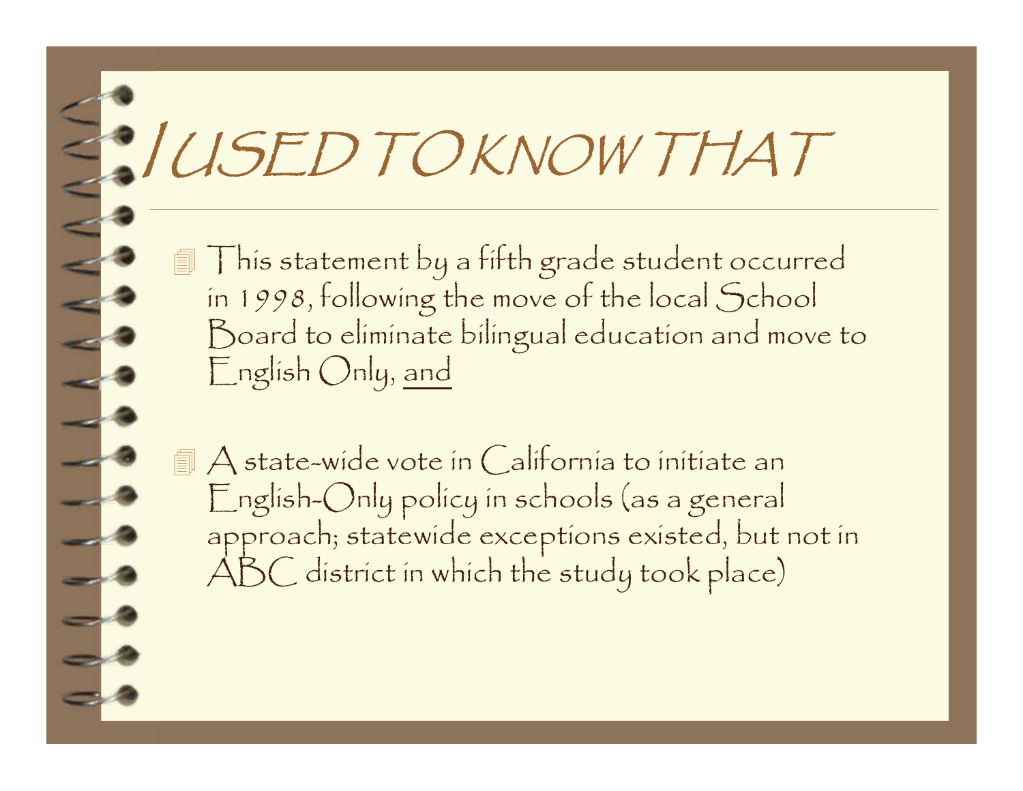# I USED TO KNOW THAT

 This statement by a fifth grade student occurred in 1998, following the move of the local School Board to eliminate bilingual education and move to English Only, and

 A state-wide vote in California to initiate an English-Only policy in schools (as a general approach; statewide exceptions existed, but not in ABC district in which the study took place)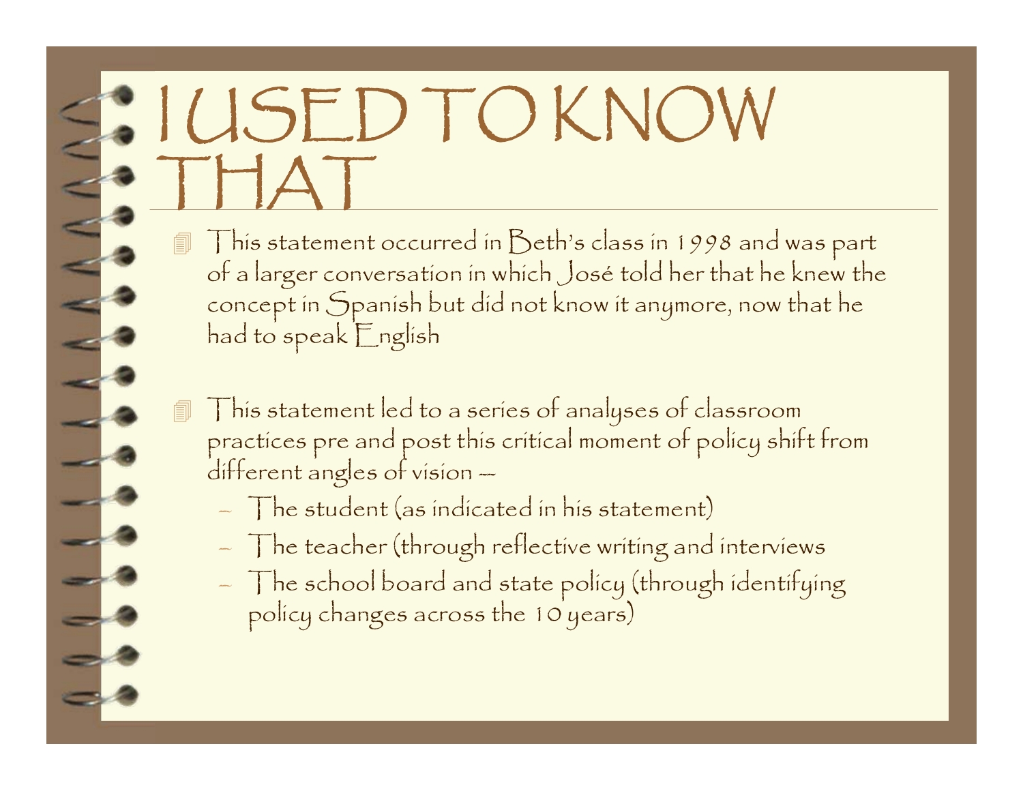## I USED TO KNOW THAT

- This statement occurred in Beth's class in 1998 and was part of a larger conversation in which José told her that he knew the concept in Spanish but did not know it anymore, now that he had to speak English
- This statement led to a series of analyses of classroom practices pre and post this critical moment of policy shift from<br>different angles of vision --
	- –The student (as indicated in his statement)
	- $-$  The teacher (through reflective writing and interviews
	- $-$  The school board and state policy (through identifying policy changes across the 10 years)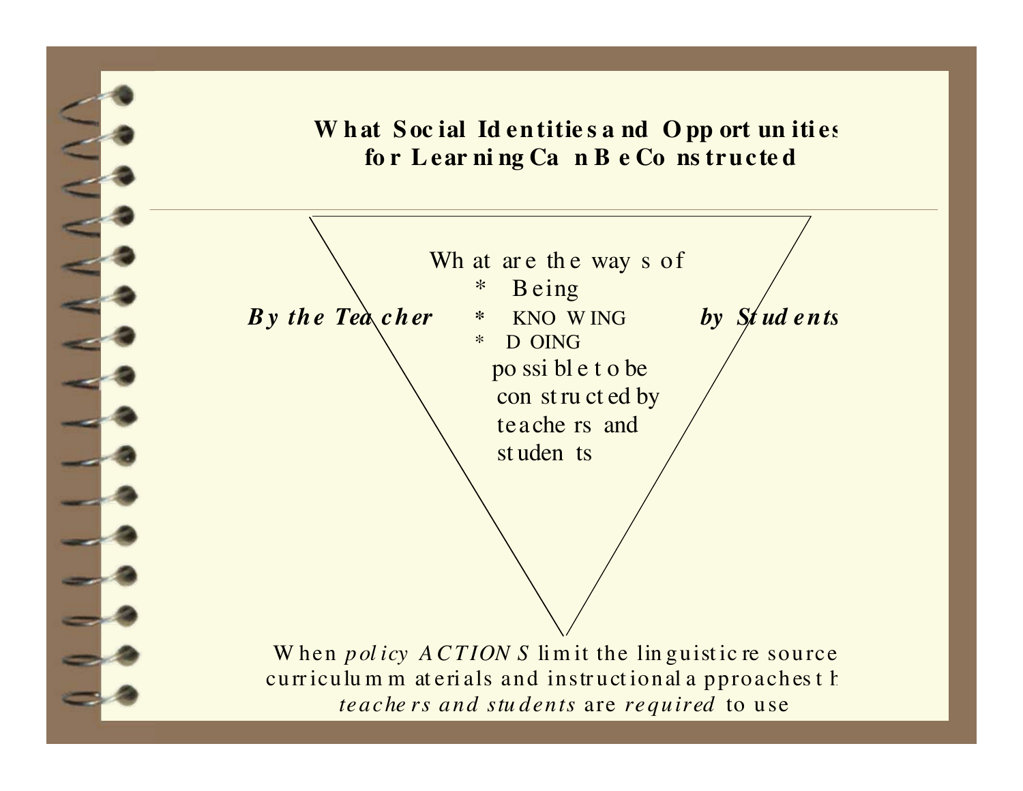#### What Social Identities and Opp ort unities **fo r L ear ni ng Ca n B e Co ns tru cte d**

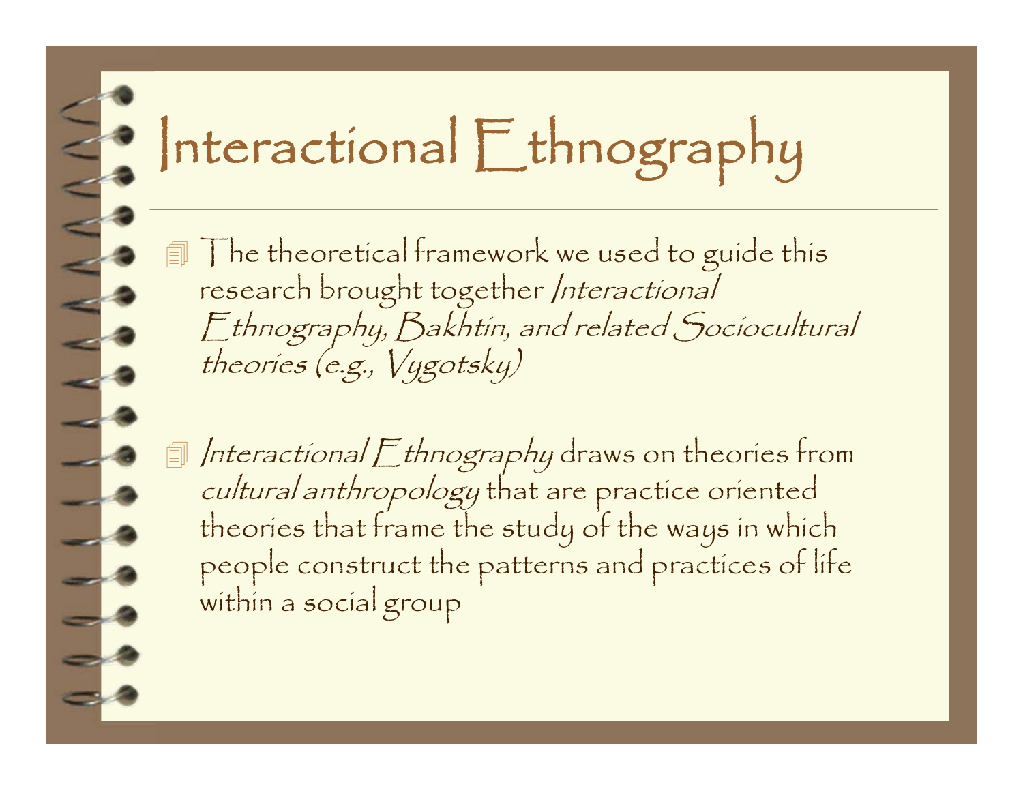# Interactional Ethnography

 The theoretical framework we used to guide this research brought together Interactional Ethnography, Bakhtin, and related Sociocultural theories (e.g., Vygotsky)

 $\Box$  Interactional  $\Box$  thnography draws on theories from cultural anthropology that are practice oriented theories that frame the study of the ways in which people construct the patterns and practices of life within a social group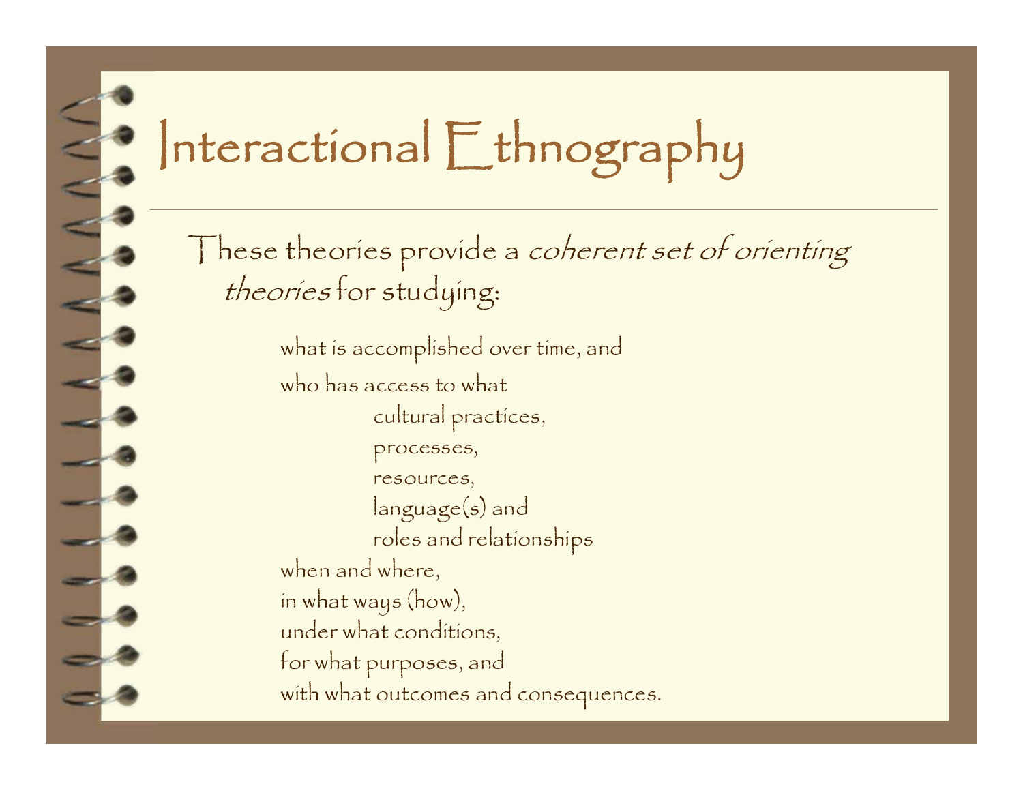## Interactional Ethnography

These theories provide a coherent set of orienting theories for studying:

> what is accomplished over time, and who has access to what cultural practices, processes, resources, language(s) and roles and relationships when and where, in what ways (how), under what conditions, for what purposes, and with what outcomes and consequences.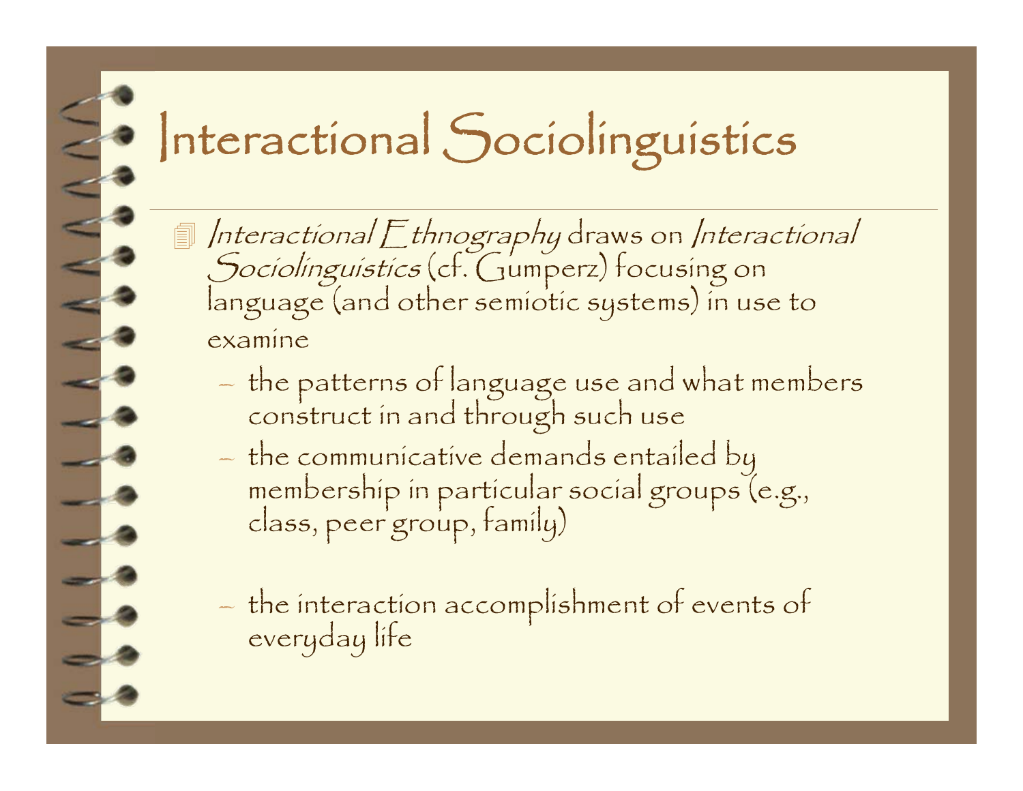### Interactional Sociolinguistics

Interactional Ethnography draws on Interactional<br>Sociolinguistics (cf. Gumperz) focusing on<br>language (and other semiotic systems) in use to examine

- –the patterns of language use and what members construct in and through such use
- the communicative demands entailed by membership in particular social groups (e.g., class, peer group, family)

–- the interaction accomplishment of events of<br>everyday life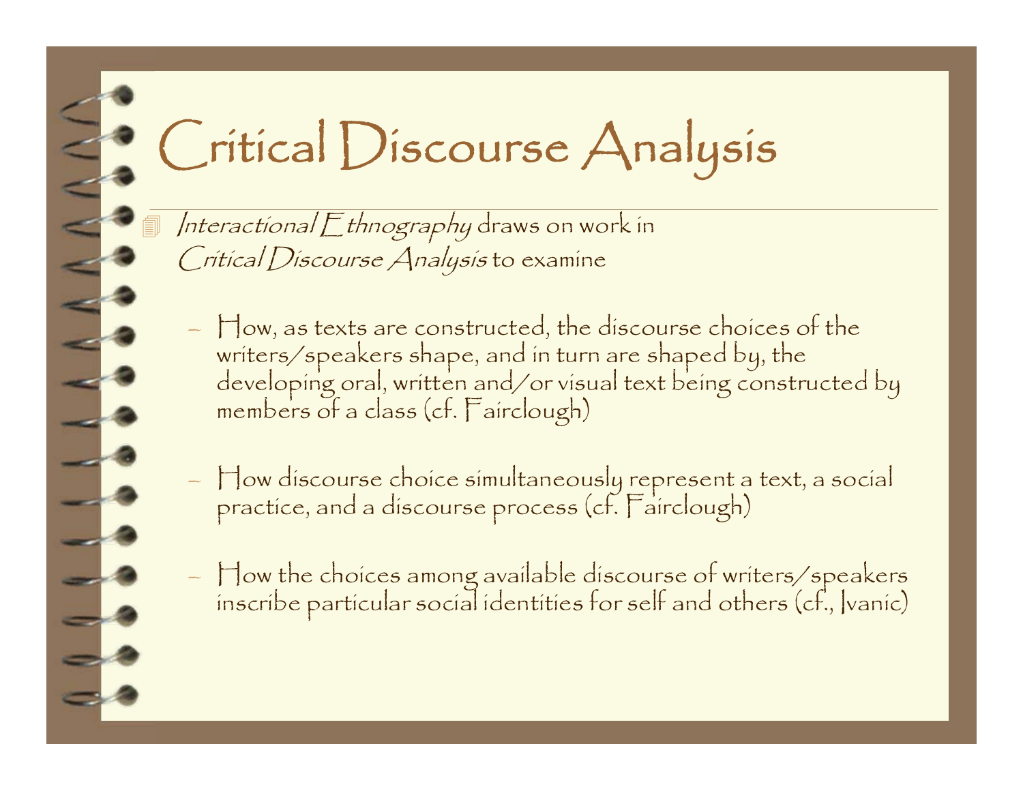## Critical Discourse Analysis

Interactional Ethnography draws on work in Critical Discourse Analysis to examine

- $\dagger$  ow, as texts are constructed, the discourse choices of the  $\overline{\phantom{a}}$ writers/speakers shape, and in turn are shaped by, the developing oral, written and/or visual text being constructed by members of a class (cf. Fairclough)
- How discourse choice simultaneously represent a text, a social practice, and a discourse process (cf. Fairclough)
- How the choices among available discourse of writers/speakers inscribe particular social identities for self and others (cf., Ivanic)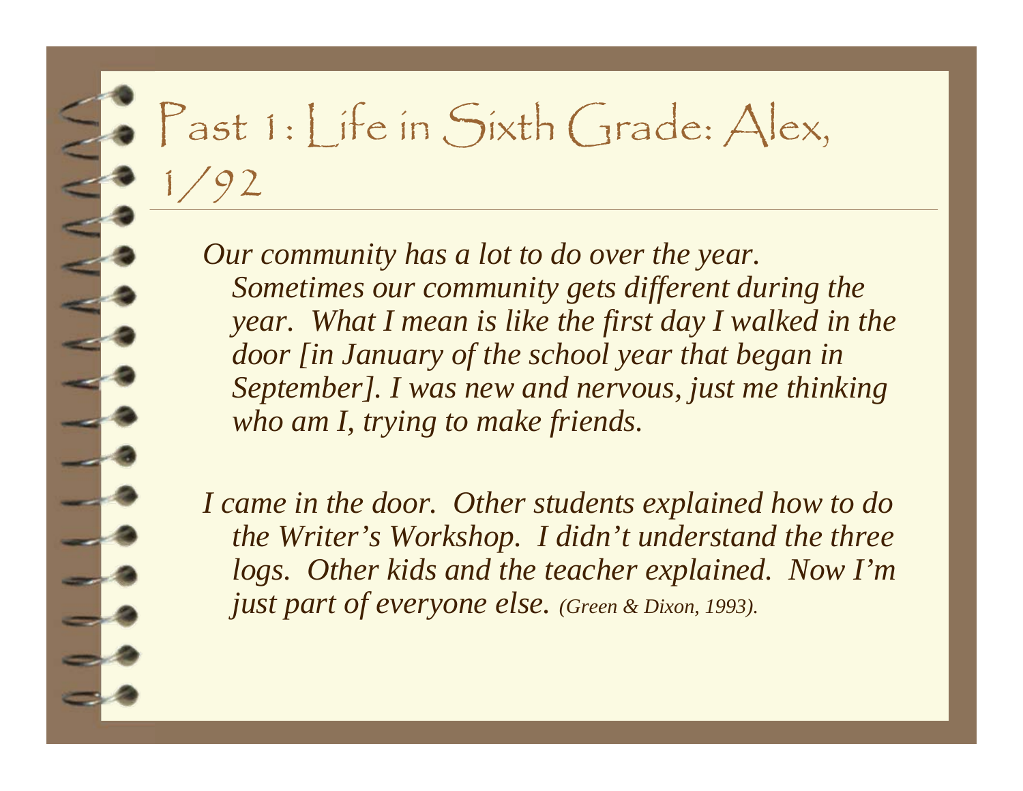#### Past 1: Life in Sixth Grade: Alex, 1/92

*Our community has a lot to do over the year. Sometimes our community gets different during the year.* What I mean is like the first day I walked in the *door [in January of the school year that began in September]. I was new and nervous, just me thinking who am I, trying to make friends.* 

*I came in the door. Other students explained how to do the Writer's Workshop. I didn't understand the three logs. Other kids and the teacher explained. Now I'm just part of everyone else. (Green & Dixon, 1993).*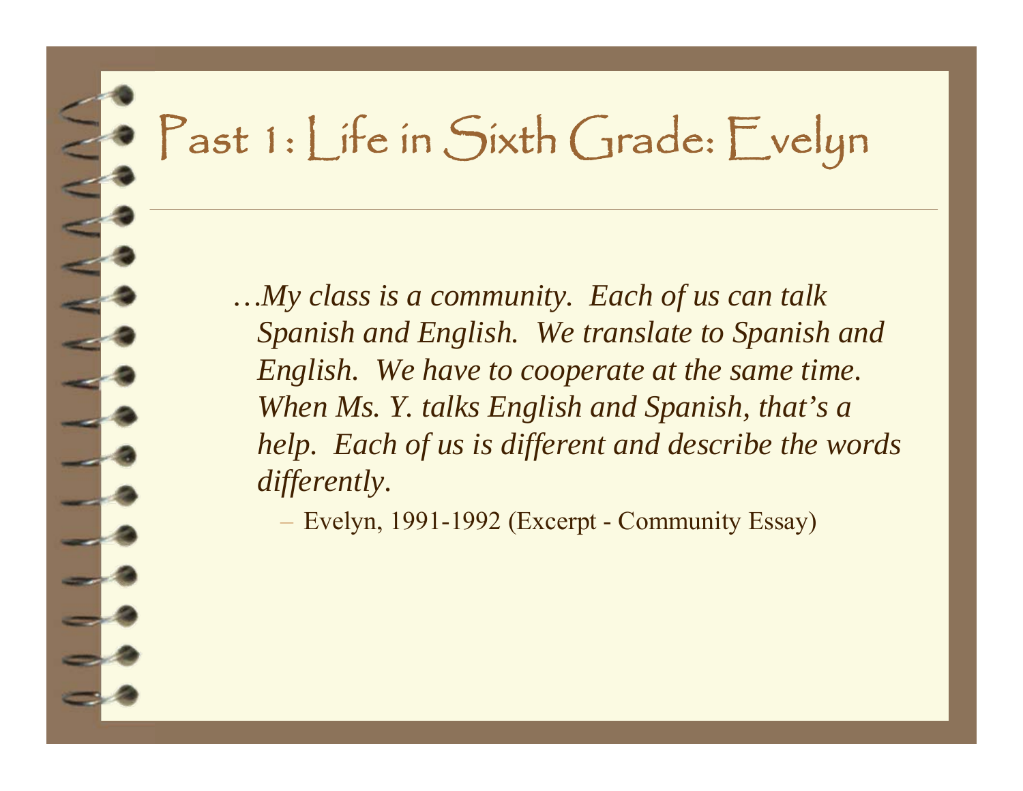### Past 1: Life in Sixth Grade: Evelyn

*…My class is a community. Each of us can talk Spanish and English. We translate to Spanish and English. We have to cooperate at the same time. When Ms. Y. talks English and Spanish, that's a help. Each of us is different and describe the words differently.* 

Evelyn, 1991-1992 (Excerpt - Community Essay)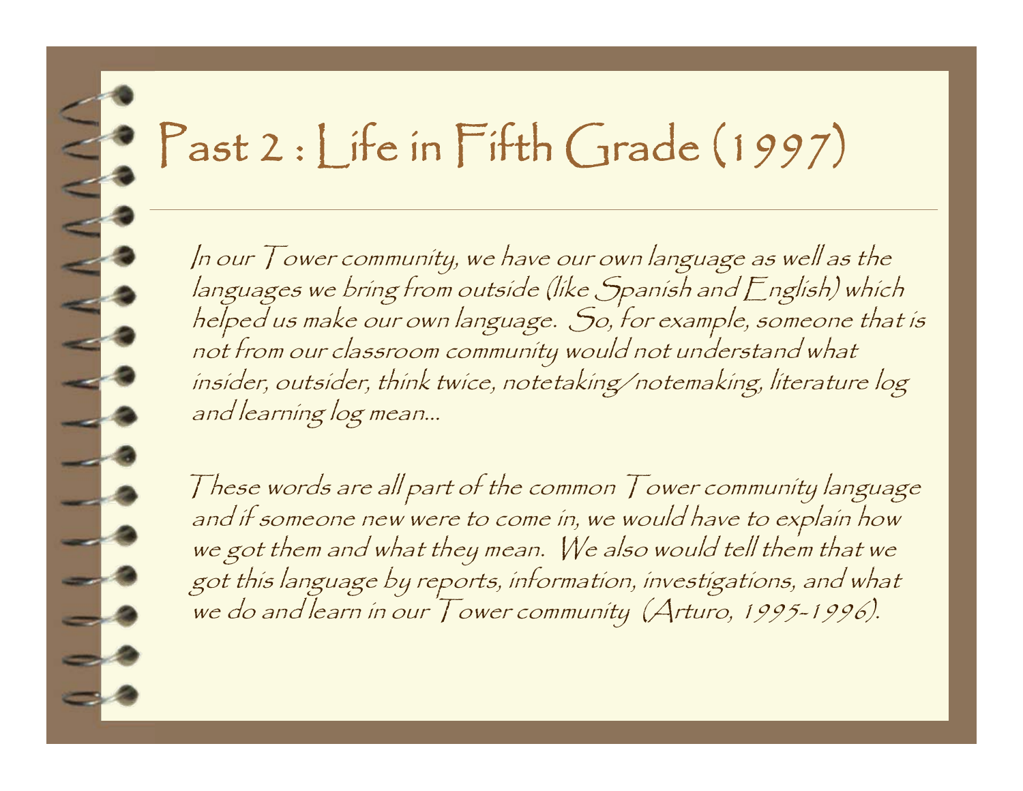# Past 2 : Life in Fifth Grade (1997)

 $\leq$ 

 $-1$ 

 $\overline{\phantom{a}}$ 

 $\overline{\phantom{a}}$ 

 $\Box$ 

 $\Box$ 

 $-1$ 

- 8

 $\Rightarrow$  8

 $\sim$   $\sim$ 

In our Tower community, we have our own language as well as the<br>languages we bring from outside (like Spanish and English) which helped us make our own language. So, for example, someone that is<br>not from our classroom community would not understand what insider, outsider, think twice, notetaking/notemaking, literature log and learning log mean...

These words are all part of the common  $\overline{I}$  ower community language and if someone new were to come in, we would have to explain how we got them and what they mean. We also would tell them that we got this language by reports, information, investigations, and what<br>we do and learn in our Tower community (Arturo, 1995-1996).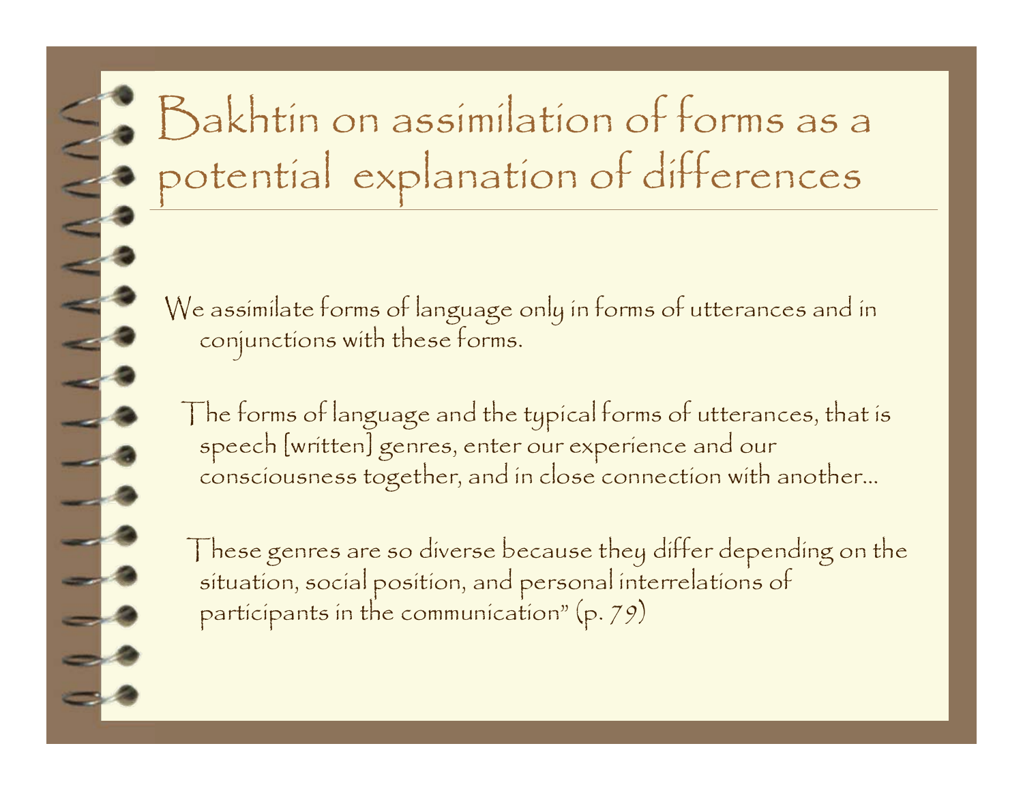### Bakhtin on assimilation of forms as a potential explanation of differences

We assimilate forms of language only in forms of utterances and in conjunctions with these forms.

The forms of language and the typical forms of utterances, that is speech [written] genres, enter our experience and our consciousness together, and in close connection with another…

These genres are so diverse because they differ depending on the situation, social position, and personal interrelations of participants in the communication" (p. 79)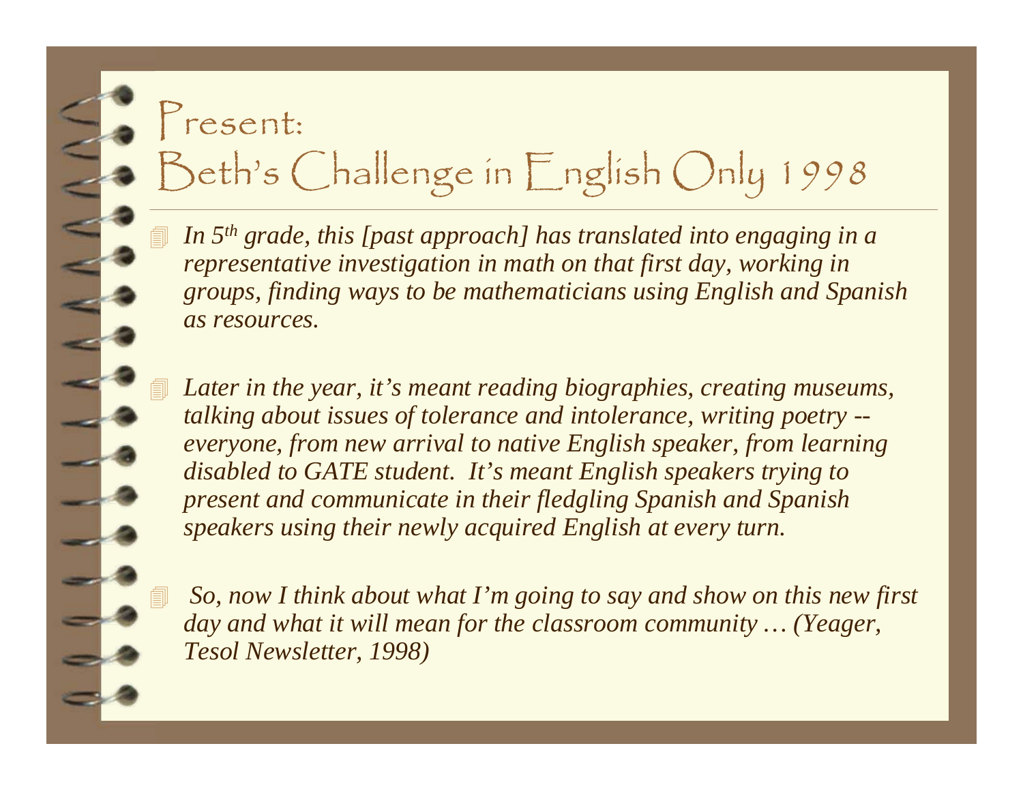#### Present:

#### Beth's Challenge in English Only 1998

 *In 5th grade, this [past approach] has translated into engaging in a representative investigation in math on that first day, working in groups, finding ways to be mathematicians using English and Spanish as resources.*

 *Later in the year, it's meant reading biographies, creating museums, talking about issues of tolerance and intolerance, writing poetry - everyone, from new arrival to native English speaker, from learning disabled to GATE student. It's meant English speakers trying to present and communicate in their fledgling Spanish and Spanish speakers using their newly acquired English at every turn.*

 *So, now I think about what I'm going to say and show on this new first day and what it will mean for the classroom community … (Yeager, Tesol Newsletter, 1998)*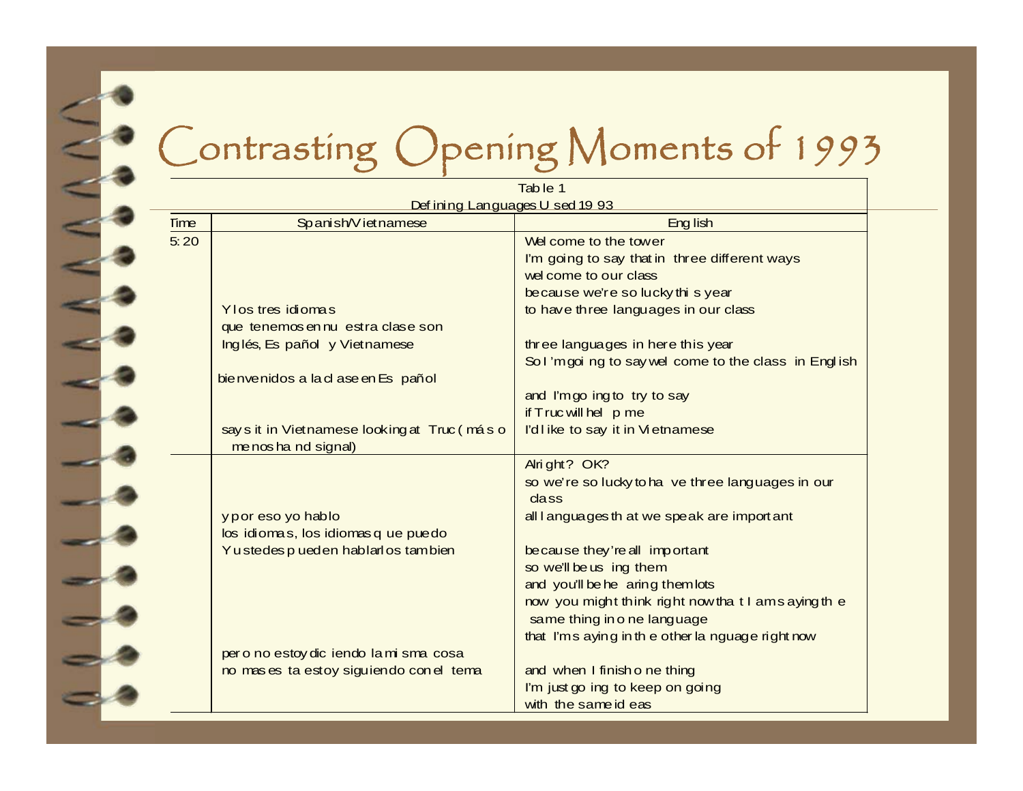#### Contrasting Opening Moments of 1993

|                                |                                             | Table 1                                              |  |  |  |  |
|--------------------------------|---------------------------------------------|------------------------------------------------------|--|--|--|--|
| Defining Languages U sed 19 93 |                                             |                                                      |  |  |  |  |
| <b>Time</b>                    | Spanish/Vietnamese                          | Eng lish                                             |  |  |  |  |
| 5:20                           |                                             | Welcome to the tower                                 |  |  |  |  |
|                                |                                             | I'm going to say that in three different ways        |  |  |  |  |
|                                |                                             | wel come to our class                                |  |  |  |  |
|                                |                                             | because we're so lucky this year                     |  |  |  |  |
|                                | Y los tres idiomas                          | to have three languages in our class                 |  |  |  |  |
|                                | que tenemos en nu estra clase son           |                                                      |  |  |  |  |
|                                | Inglés, Es pañol y Vietnamese               | three languages in here this year                    |  |  |  |  |
|                                |                                             | Sol'm goi ng to say wel come to the class in English |  |  |  |  |
|                                | bie nvenidos a la cl a se en Es pañol       |                                                      |  |  |  |  |
|                                |                                             | and I'm go ing to try to say                         |  |  |  |  |
|                                |                                             | if Truc will hel p me                                |  |  |  |  |
|                                | say sit in Vietnamese looking at Truc (máso | l'dlike to say it in Vietnamese                      |  |  |  |  |
|                                | me nos ha nd signal)                        |                                                      |  |  |  |  |
|                                |                                             | Alright? OK?                                         |  |  |  |  |
|                                |                                             | so we're so lucky to ha ve three languages in our    |  |  |  |  |
|                                |                                             | cla <sub>ss</sub>                                    |  |  |  |  |
|                                | y p or eso yo hablo                         | all languages th at we speak are import ant          |  |  |  |  |
|                                | los idiomas, los idiomas q ue puedo         |                                                      |  |  |  |  |
|                                | Yu stedes pued en habilarios tambien        | because they're all important                        |  |  |  |  |
|                                |                                             | so we'll be us ing them                              |  |  |  |  |
|                                |                                             | and you'll be he aring them lots                     |  |  |  |  |
|                                |                                             | now you might think right now that I am saying the   |  |  |  |  |
|                                |                                             | same thing in o ne language                          |  |  |  |  |
|                                |                                             | that I'm s aying in the other la nguage right now    |  |  |  |  |
|                                | pero no estoy diciendo la misma cosa        |                                                      |  |  |  |  |
|                                | no mas es ta estoy siguiendo con el tema    | and when I finish o ne thing                         |  |  |  |  |
|                                |                                             | I'm just go ing to keep on going                     |  |  |  |  |
|                                |                                             | with the same id eas                                 |  |  |  |  |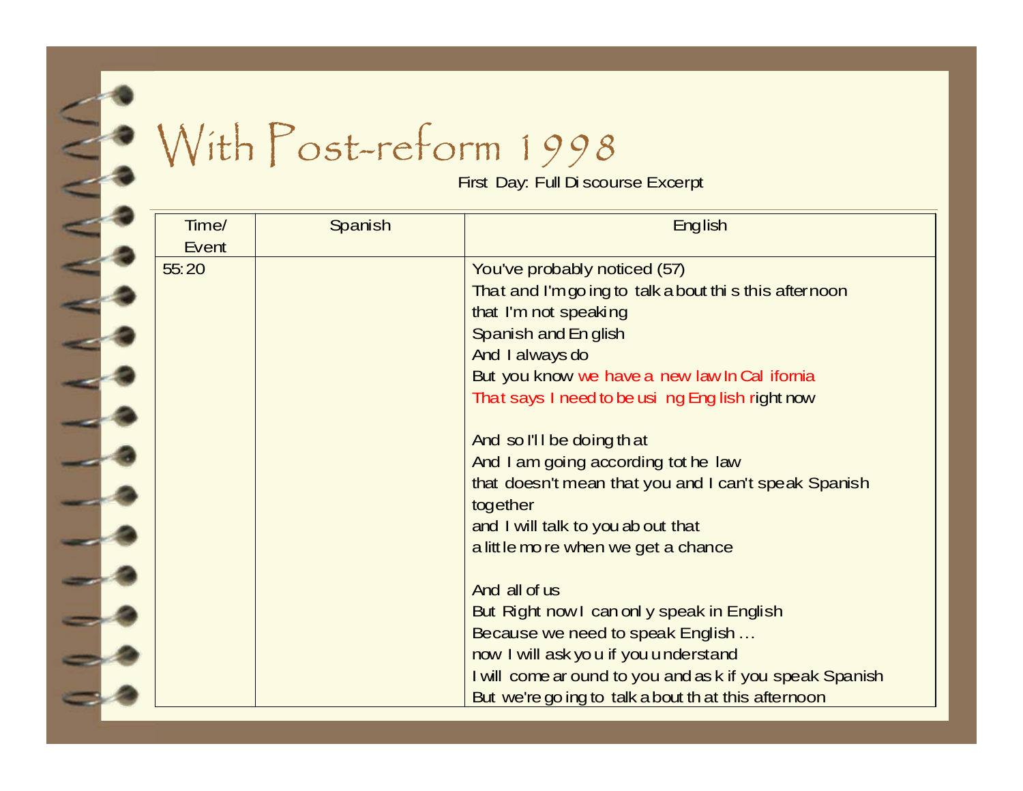### With Post-reform 1998

First Day: Full Di scourse Excerpt

| Time/<br>Event | Spanish | <b>English</b>                                                                                                                                                                                                                                                                                                                                                                                                                                                                                                                                                                                                                                                                                                                                      |
|----------------|---------|-----------------------------------------------------------------------------------------------------------------------------------------------------------------------------------------------------------------------------------------------------------------------------------------------------------------------------------------------------------------------------------------------------------------------------------------------------------------------------------------------------------------------------------------------------------------------------------------------------------------------------------------------------------------------------------------------------------------------------------------------------|
| 55:20          |         | You've probably noticed (57)<br>That and I'm go ing to talk a bout thi s this afternoon<br>that I'm not speaking<br>Spanish and English<br>And I always do<br>But you know we have a new law In Cal ifornia<br>That says I need to be usi ng Eng lish right now<br>And so I'll be doing that<br>And I am going according tot he law<br>that doesn't mean that you and I can't speak Spanish<br>together<br>and I will talk to you ab out that<br>a little mo re when we get a chance<br>And all of us<br>But Right now I can only speak in English<br>Because we need to speak English<br>now I will ask yo u if you understand<br>I will come ar ound to you and as k if you speak Spanish<br>But we're go ing to talk a bout th at this afternoon |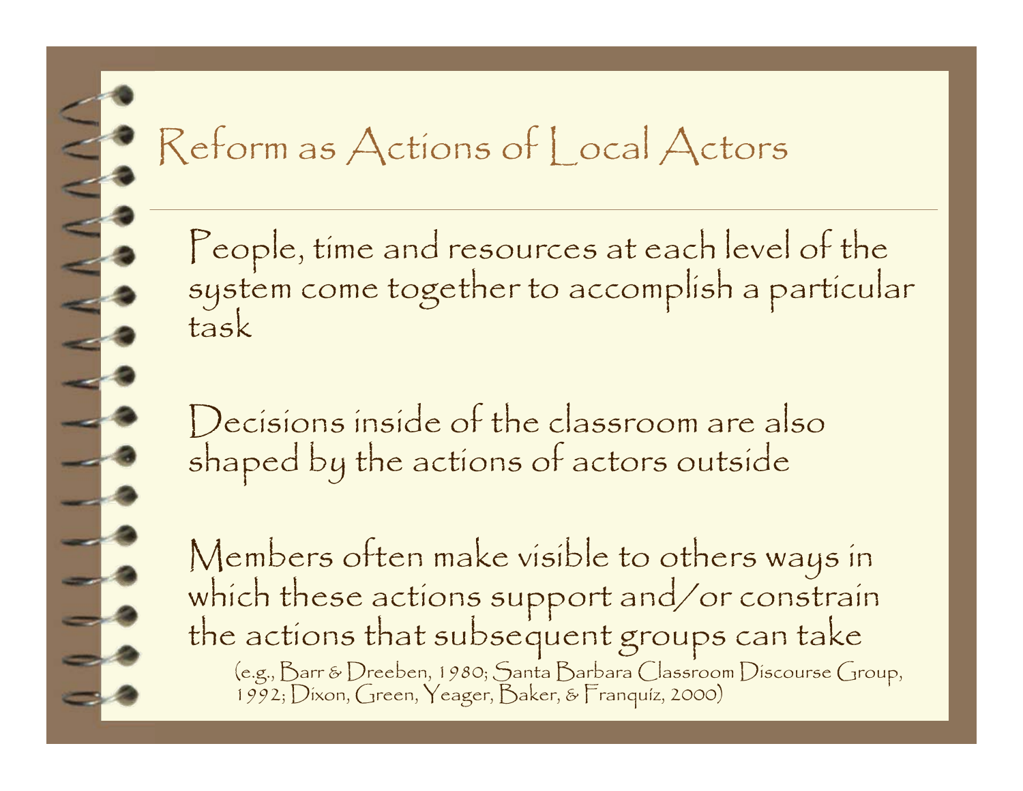# Reform as Actions of Local Actors

People, time and resources at each level of the system come together to accomplish a particular task

Decisions inside of the classroom are also shaped by the actions of actors outside

Members often make visible to others ways in which these actions support and/or constrain the actions that subsequent groups can take (e.g., Barr & Dreeben, 1980; Santa Barbara Classroom Discourse Group, 1992; Dixon, Green, Yeager, Baker, & Franquíz, 2000)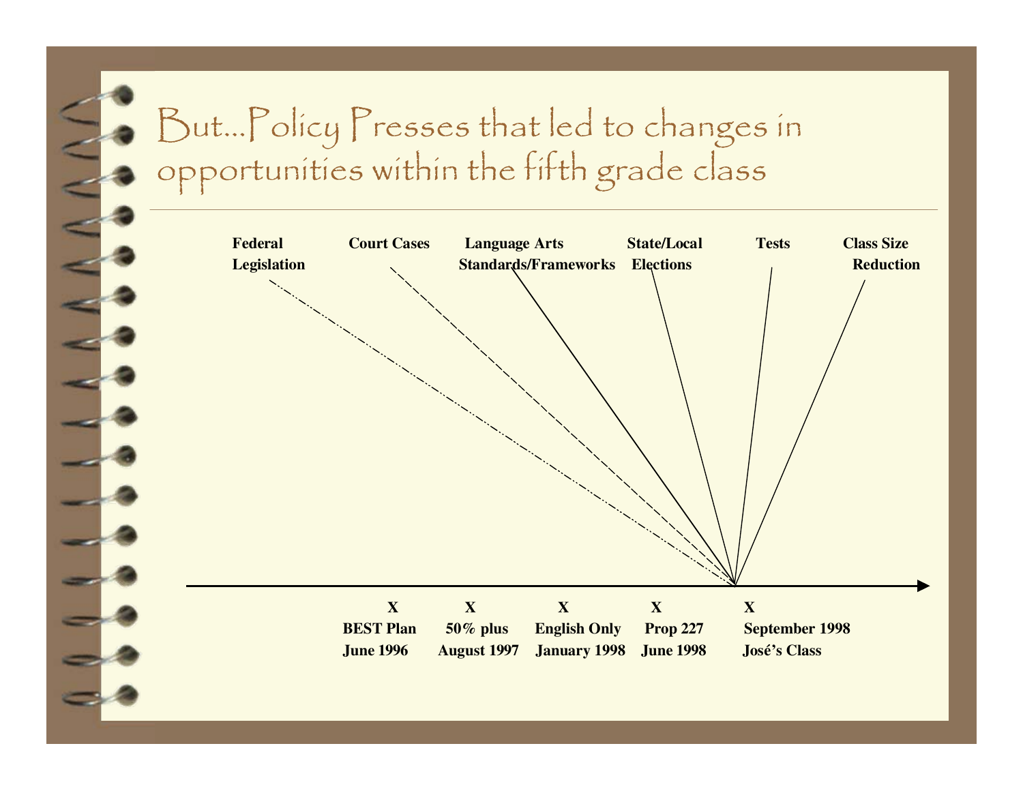#### But…Policy Presses that led to changes in opportunities within the fifth grade class

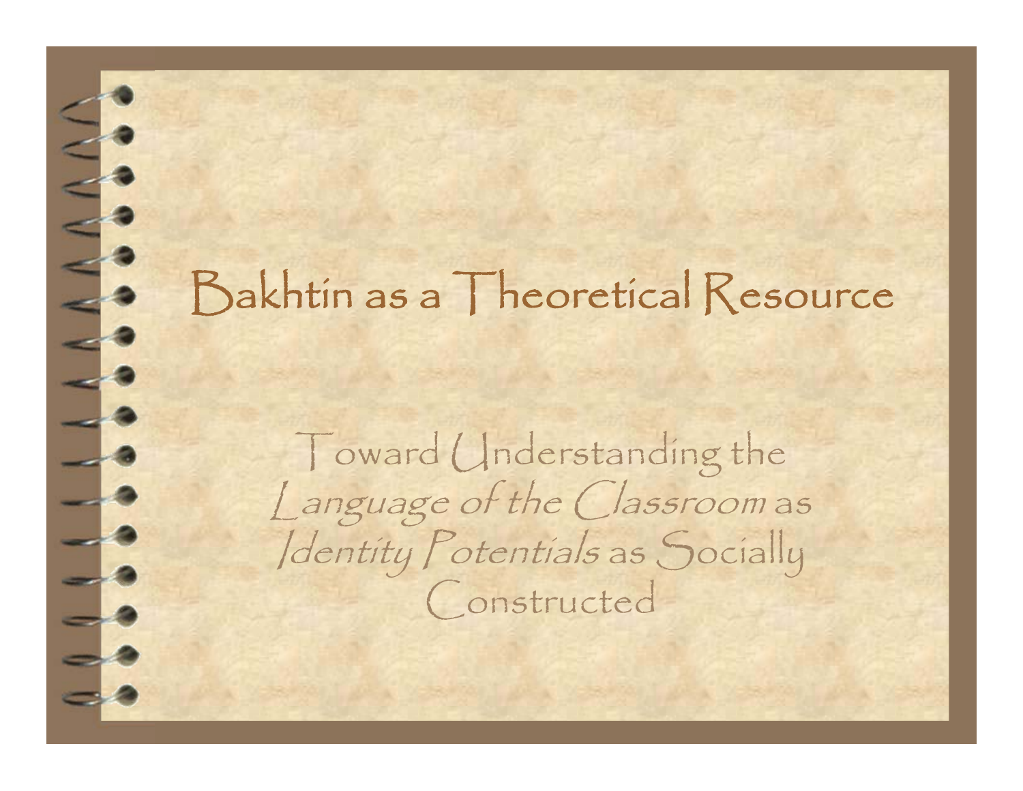#### Bakhtin as a Theoretical Resource

**CONSTRUCTION** 

 $\overline{\phantom{a}}$ 

Toward Understanding the Language of the Classroom as Identity Potentials as Socially Constructed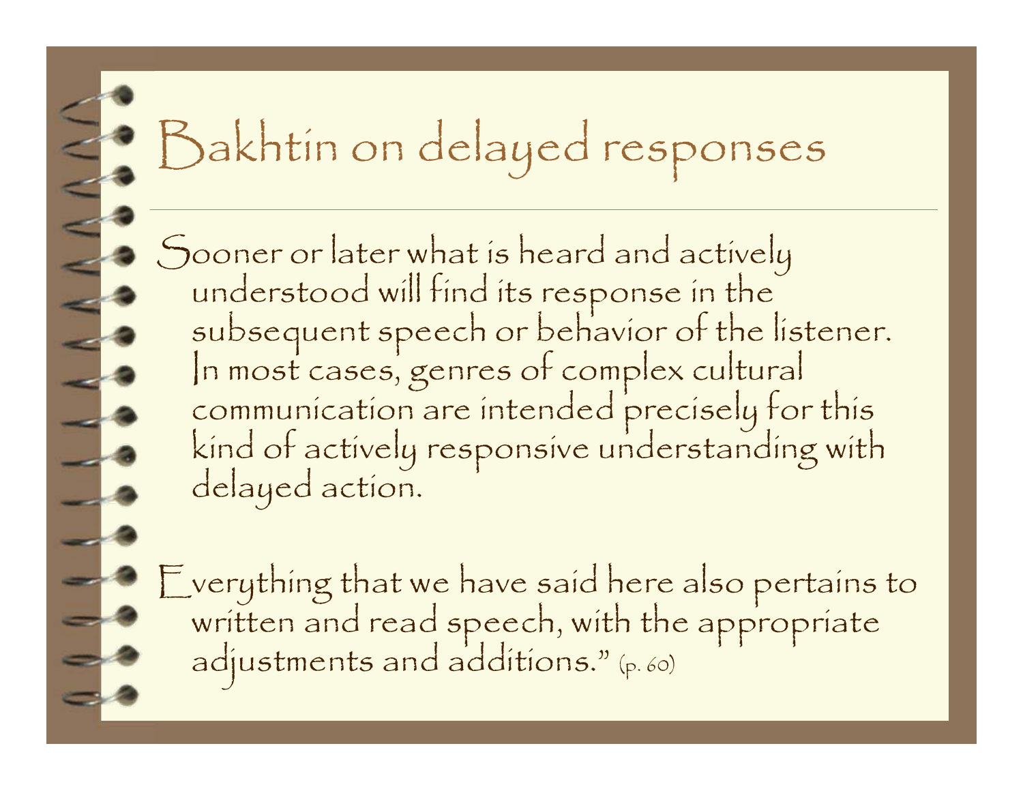## Bakhtin on delayed responses

Sooner or later what is heard and actively<br>understood will find its response in the<br>subsequent speech or behavior of the listener.<br>In most cases, genres of complex cultural<br>communication are intended precisely for this<br>kin

Everything that we have said here also pertains to written and read speech, with the appropriate adjustments and additions." (p. 60)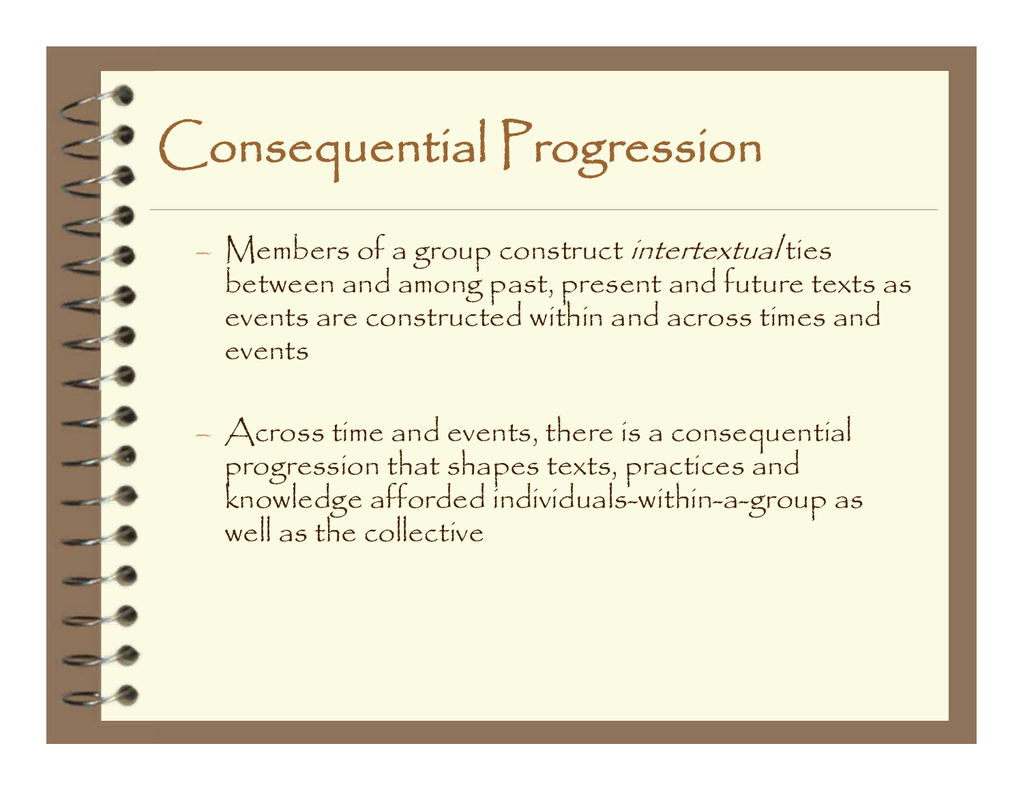## Consequential Progression

- Members of a group construct *intertextual* ties<br>between and among past, present and future texts as<br>events are constructed within and across times and events
- Across time and events, there is a consequential progression that shapes texts, practices and knowledge afforded individuals-within-a-group as well as the collective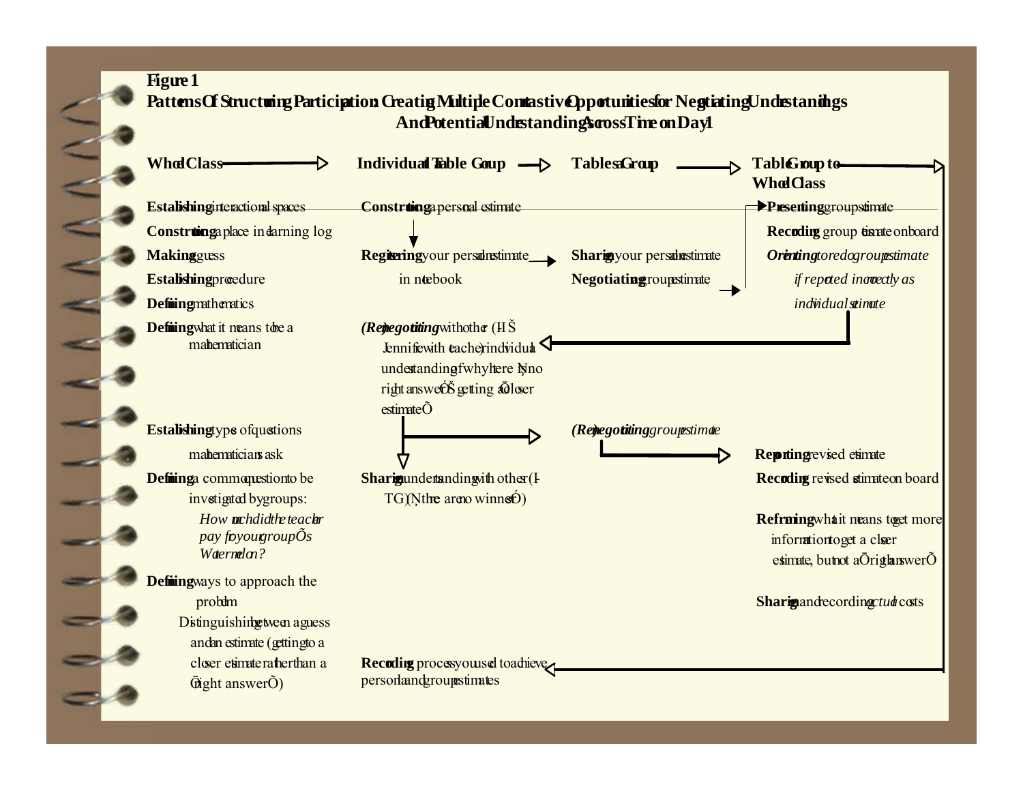#### **Figure 1 Patterns Of Structuring Participation: Creating Multiple Contrastive Opportunities for Negotiating Understandings And Potential Indistandings aross Time on Day 1**

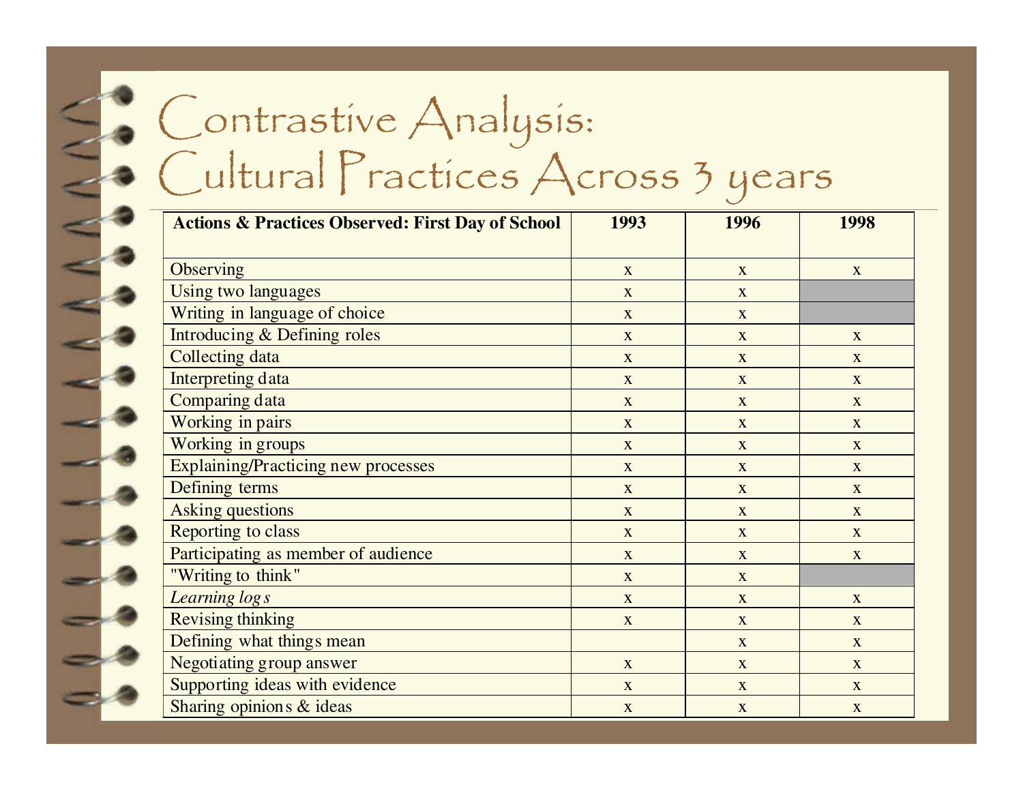#### Contrastive Analysis: Cultural Practices Across 3 years

| <b>Actions &amp; Practices Observed: First Day of School</b> | 1993         | 1996         | 1998                      |
|--------------------------------------------------------------|--------------|--------------|---------------------------|
| Observing                                                    | $\mathbf{X}$ | $\mathbf{X}$ | $\mathbf{X}$              |
| Using two languages                                          | $\mathbf X$  | X            |                           |
| Writing in language of choice                                | X            | X            |                           |
| <b>Introducing &amp; Defining roles</b>                      | $\mathbf{X}$ | $\mathbf X$  | $\boldsymbol{\mathrm{X}}$ |
| <b>Collecting data</b>                                       | $\mathbf{X}$ | $\mathbf{X}$ | $\mathbf{X}$              |
| <b>Interpreting data</b>                                     | $\mathbf X$  | $\mathbf X$  | $\boldsymbol{\mathrm{X}}$ |
| <b>Comparing data</b>                                        | $\mathbf{X}$ | $\mathbf X$  | $\mathbf X$               |
| Working in pairs                                             | $\mathbf X$  | X            | $\mathbf X$               |
| Working in groups                                            | $\mathbf{X}$ | X            | $\mathbf{X}$              |
| <b>Explaining/Practicing new processes</b>                   | $\mathbf X$  | $\mathbf{X}$ | $\mathbf{X}$              |
| Defining terms                                               | $\mathbf X$  | X            | X                         |
| <b>Asking questions</b>                                      | X            | X            | X                         |
| Reporting to class                                           | $\mathbf{X}$ | X            | $\mathbf{X}$              |
| Participating as member of audience                          | X            | $\mathbf{X}$ | X                         |
| "Writing to think"                                           | $\mathbf X$  | $\mathbf X$  |                           |
| Learning logs                                                | X            | X            | X                         |
| <b>Revising thinking</b>                                     | $\mathbf{X}$ | X            | X                         |
| Defining what things mean                                    |              | $\mathbf{X}$ | $\mathbf{X}$              |
| <b>Negotiating group answer</b>                              | $\mathbf{X}$ | $\mathbf{X}$ | $\mathbf{X}$              |
| Supporting ideas with evidence                               | $\mathbf X$  | $\mathbf X$  | $\boldsymbol{\mathrm{X}}$ |
| Sharing opinions & ideas                                     | $\mathbf X$  | $\mathbf X$  | $\boldsymbol{\mathrm{X}}$ |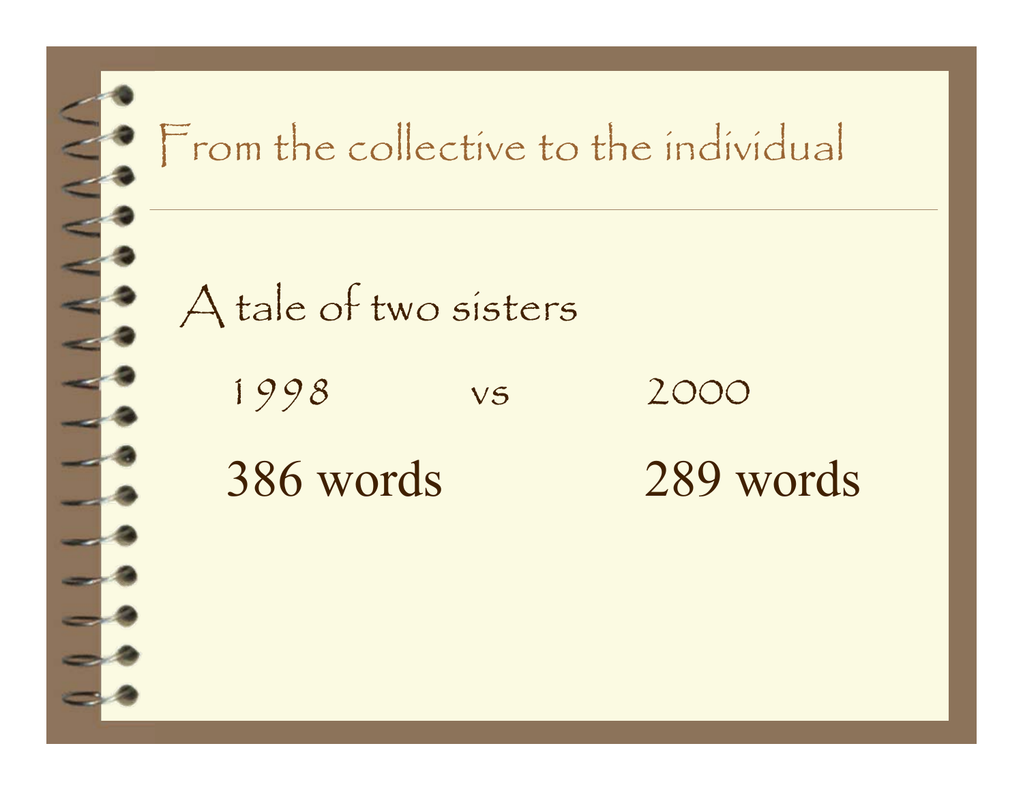

#### From the collective to the individual

A tale of two sisters

1998 vs 2000

386 words 289 words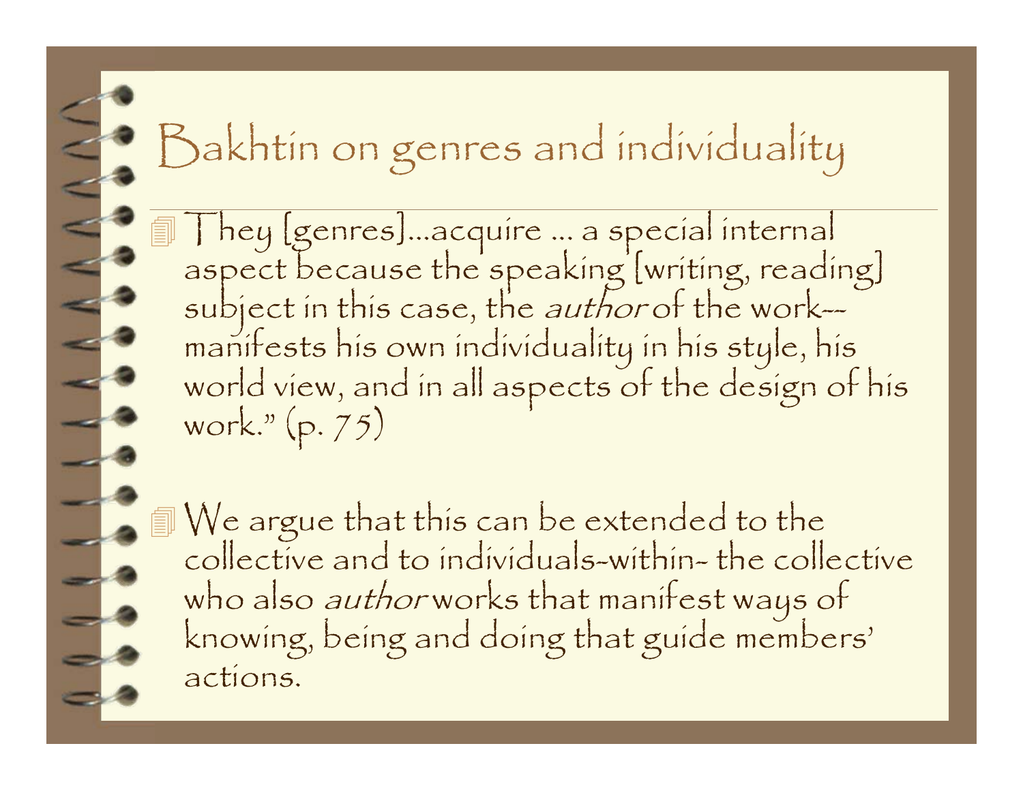### Bakhtin on genres and individuality

They [genres]...acquire ... a special internal<br>aspect because the speaking [writing, reading]<br>subject in this case, the *author* of the work—<br>manifests his own individuality in his style, his<br>world view, and in all aspects

We argue that this can be extended to the collective and to individuals-within- the collective who also *author* works that manifest ways of<br>knowing, being and doing that guide members' actions.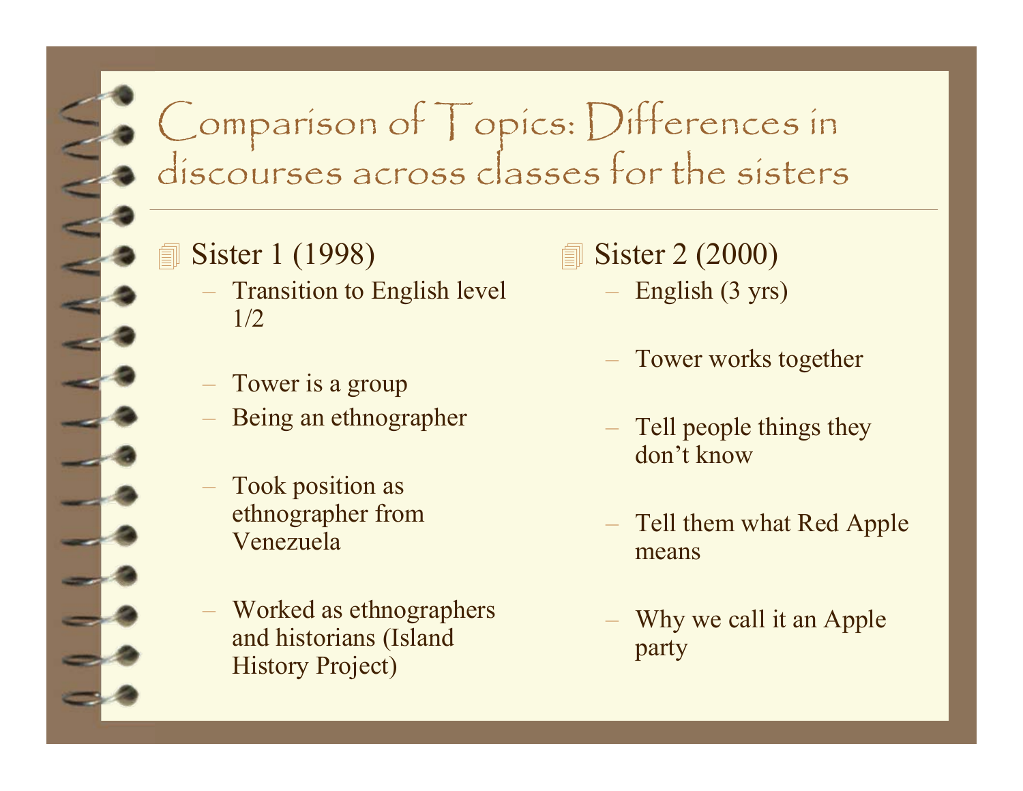# Comparison of Topics: Differences in discourses across classes for the sisters

#### **Sister 1 (1998)**

- Transition to English level 1/2
- Tower is a group
- Being an ethnographer
- Took position as ethnographer from Venezuela
- Worked as ethnographers and historians (Island History Project)
- **Sister 2 (2000)** 
	- English (3 yrs)
	- Tower works together
	- Tell people things they don't know
	- Tell them what Red Apple means
	- Why we call it an Apple party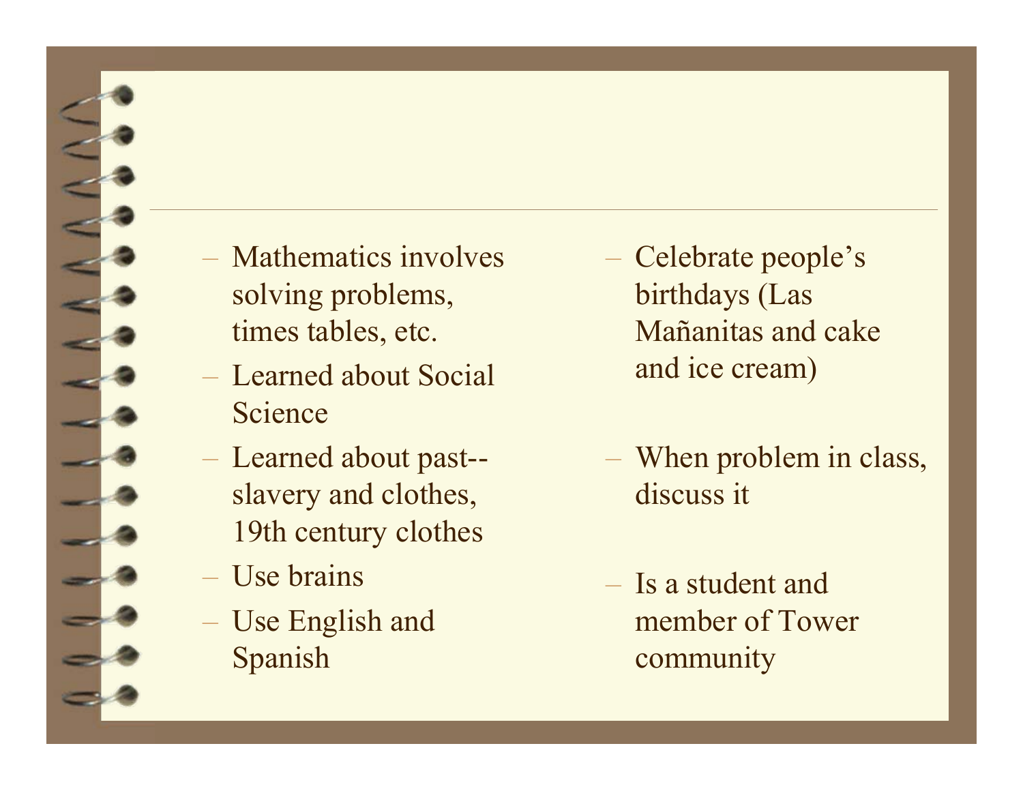- Mathematics involves solving problems, times tables, etc.
- Learned about Social Science
- Learned about past- slavery and clothes, 19th century clothes
- Use brains
- Use English and Spanish
- Celebrate people's birthdays (Las Mañanitas and cake and ice cream)
- When problem in class, discuss it
- Is a student and member of Tower community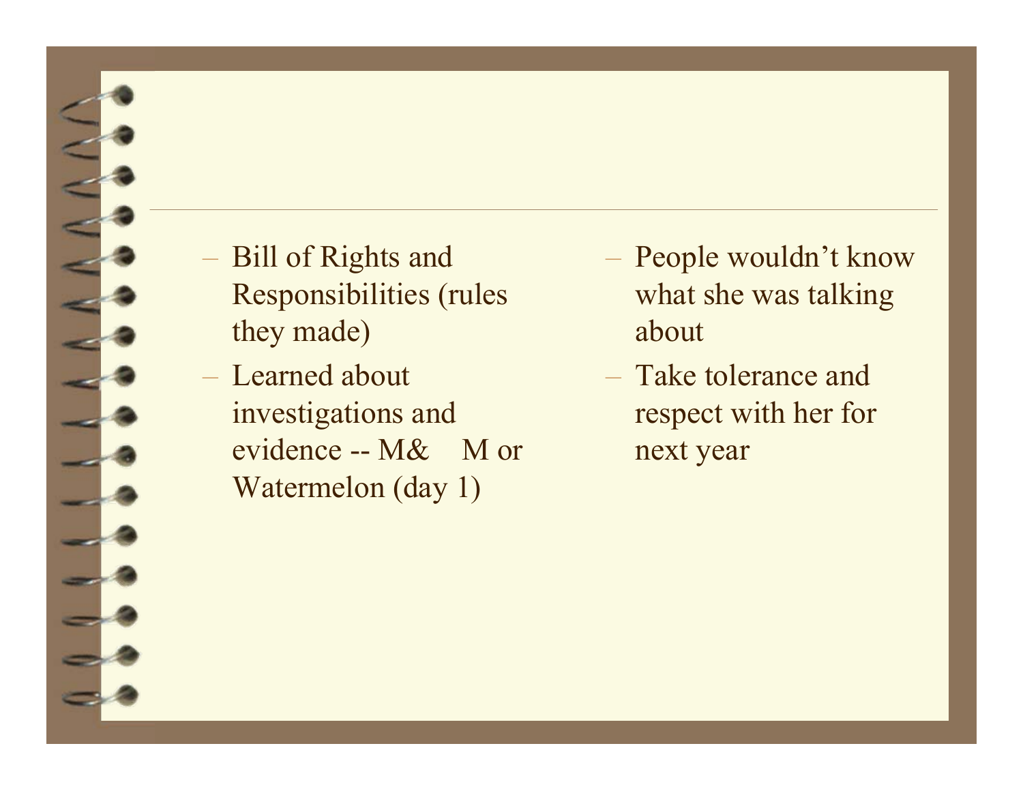

– Learned about investigations and evidence -- M& M or Watermelon (day 1)

- People wouldn't know what she was talking about
- Take tolerance and respect with her for next year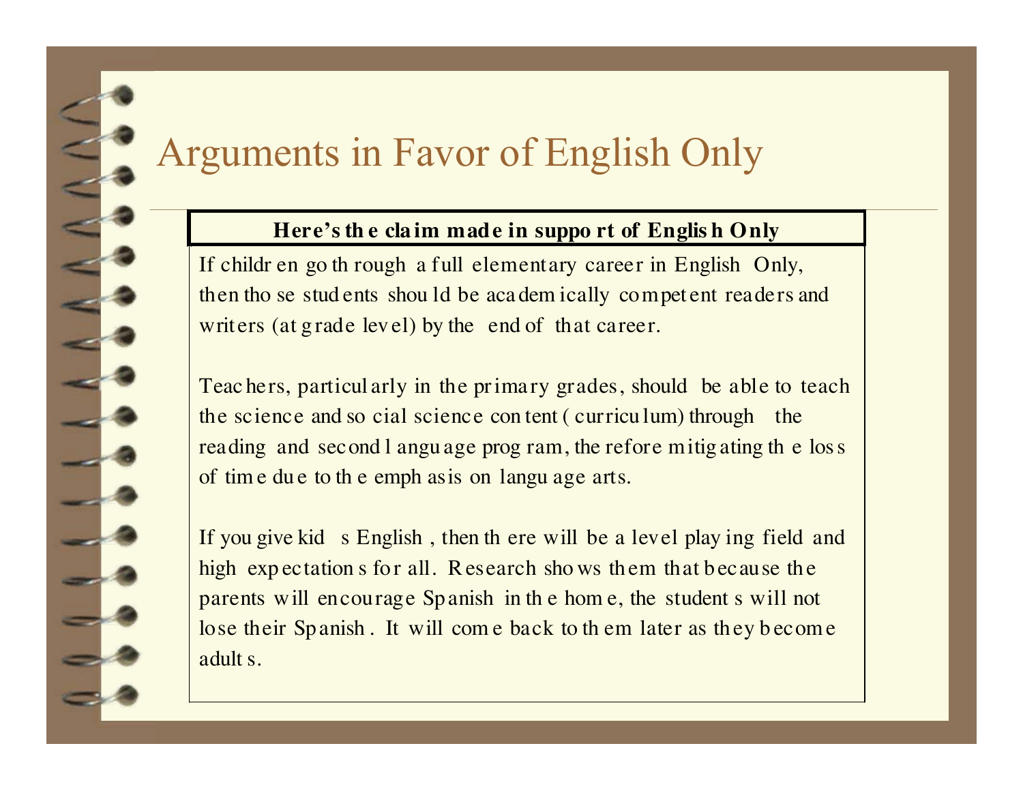#### Arguments in Favor of English Only

#### **Here's th e cla im made in suppo rt of Englis h Only**

If childr en go th rough a full elementary career in English Only, then tho se stud ents shou ld be aca dem ically compe<sup>t</sup> ent readers and writers (at grade level) by the end of that career.

Teac hers, particul arly in the pr imary grades, should be able to teach the science and so cial science con tent ( curricu lum) through the reading and second l angu age prog ram, the refore mitig ating th e los <sup>s</sup> of tim e du e to th e emph asis on langu age arts.

If you give kid s English , then th ere will be a level play ing field and high expectation s for all. R esearch shows them that because the parents will encourage Spanish in th e hom e, the student s will not lose their Spanish. It will come back to them later as they become adult s.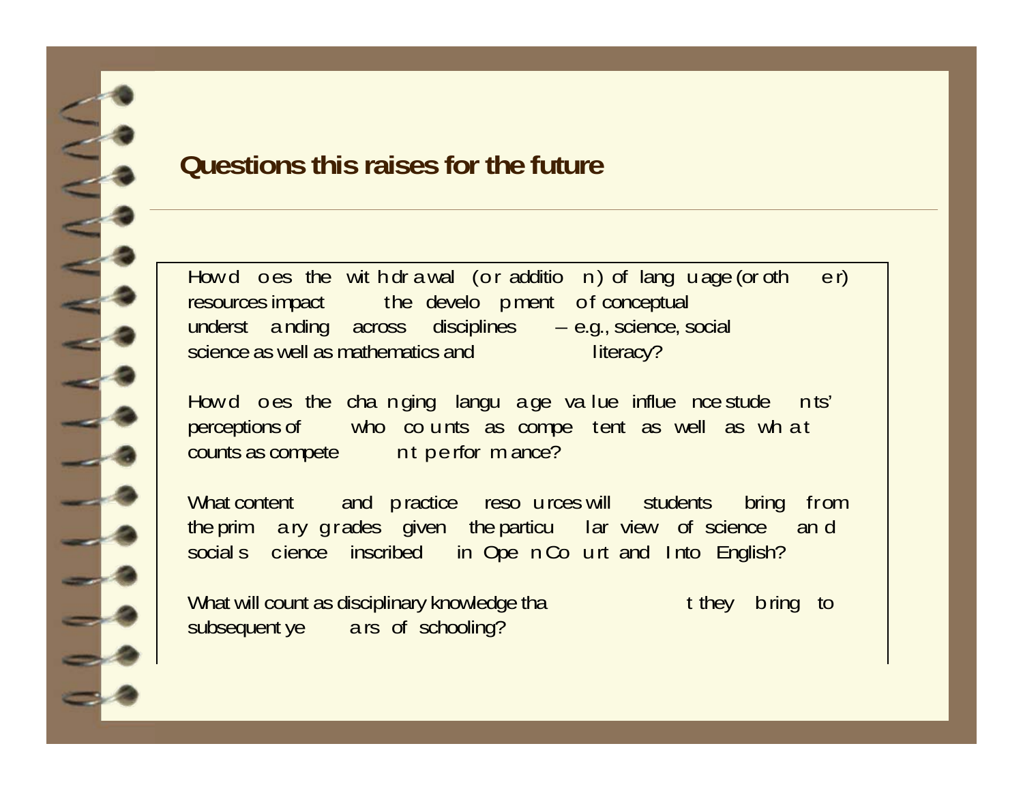

#### **Questions this raises for the future**

How d o es the wit h dr a wal (o r additio n) of lang u age (or oth  $e r$ ) resources impact the develo p ment of conceptual underst <sup>a</sup> nding across disciplines – e.g., science, social science as well as mathematics and literacy?

How d o es the cha n ging langu a ge value influe nce stude in ts' perceptions of who co <sup>u</sup> nts as compe tent as well as wh <sup>a</sup> t counts as compete nt p e rfor m ance?

What content and p ractice resources will students bring from the prim a ry g r ades given the particu lar view of science and social s cience inscribed in Ope n Co u rt and I nto English?

What will count as disciplinary knowledge tha they bring to subsequent ye ars of schooling?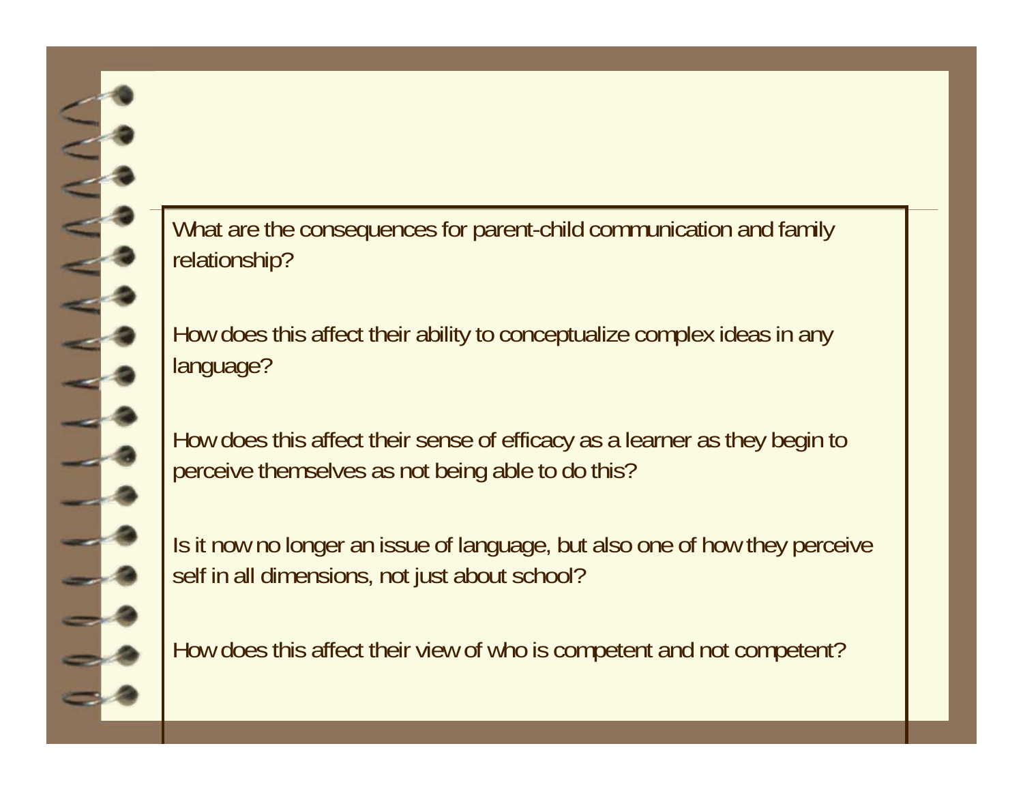What are the consequences for parent-child communication and family relationship?

How does this affect their ability to conceptualize complex ideas in any language?

How does this affect their sense of efficacy as a learner as they begin to perceive themselves as not being able to do this?

Is it now no longer an issue of language, but also one of how they perceive self in all dimensions, not just about school?

How does this affect their view of who is competent and not competent?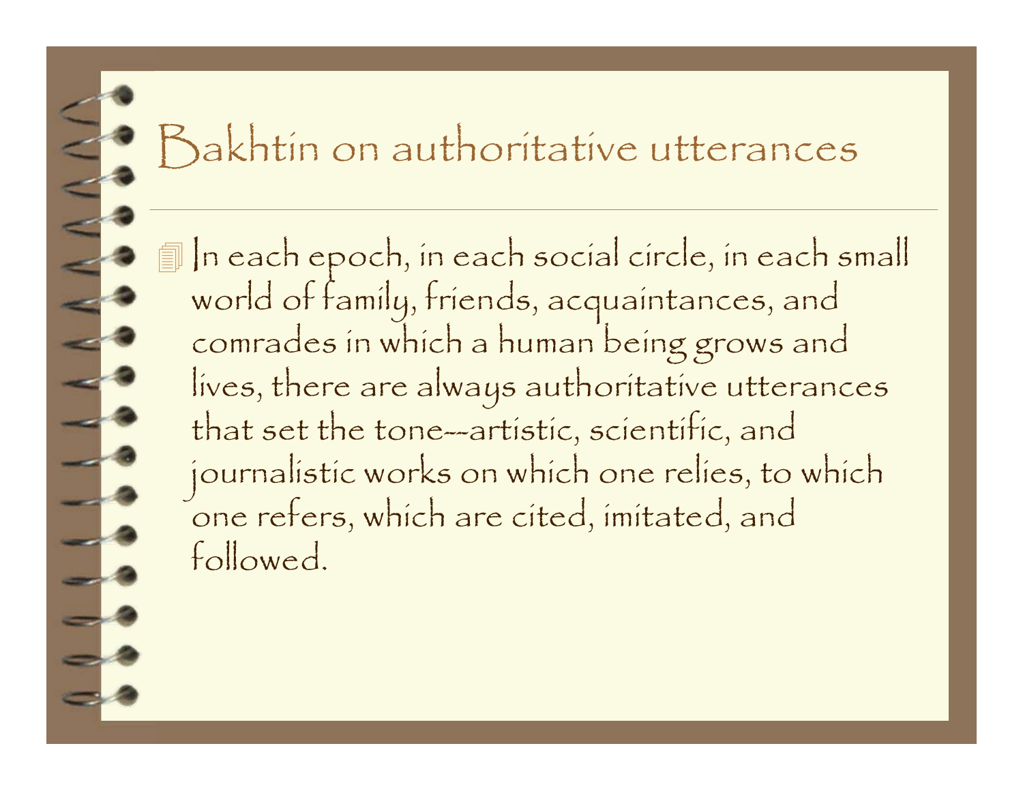### Bakhtin on authoritative utterances

In each epoch, in each social circle, in each small<br>world of family, friends, acquaintances, and<br>comrades in which a human being grows and lives, there are always authoritative utterances that set the tone-artistic, scientific, and journalistic works on which one relies, to which<br>one refers, which are cited, imitated, and followed.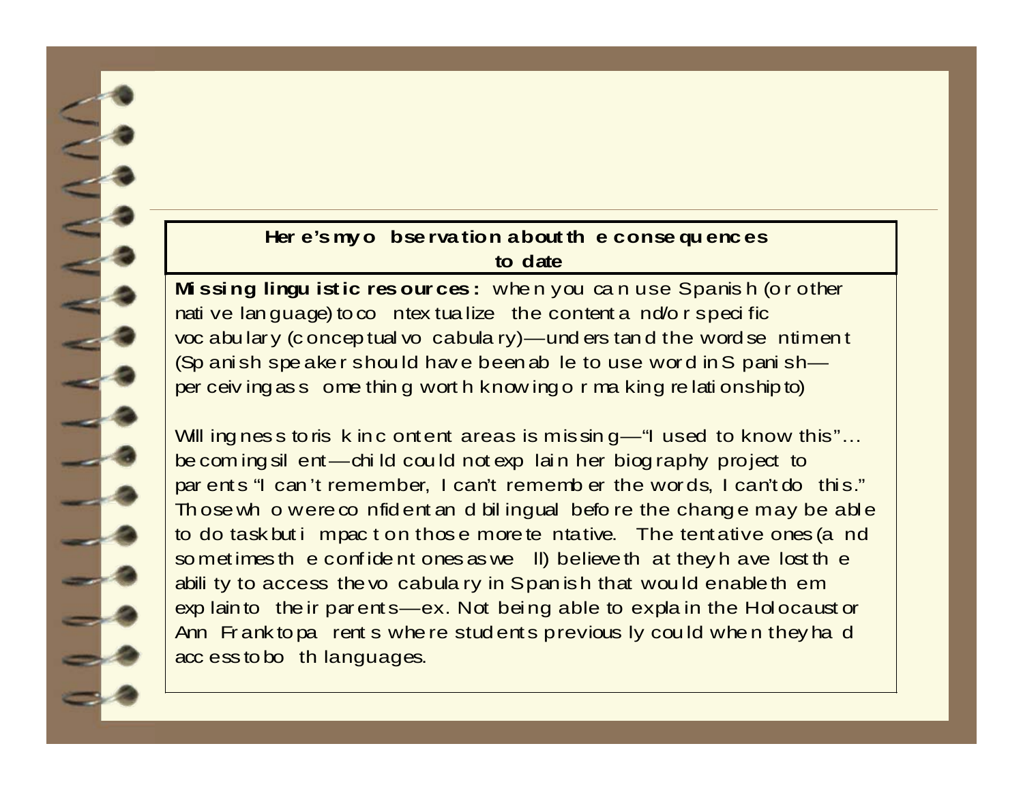#### Here's my o bse rvation about the consequences **to d ate**

Missing lingu istic resources: when you can use Spanish (or other nati ve lan guage) to co n tex tua lize the content a n d/o r s p eci fic voc a bu lar y (c o n c ep tual vo c a b ula ry) — und ers tan d the w ord se n tim en t (Sp anish spe aker should have been able to use word in S panishper c eiving as some thing w orth knowing or making relationship to)

Will ing ness to ris k in c ontent areas is m is sin  $q$  – "I used to know this"... be coming sil ent — child could not explain her biog raphy project to par ents "I can 't rem ember, I can't rem emb er the words, I can't do this." Th o se wh o w e re confident and bilingual before the change may be able to do ta sk but i m pac t on thos e m ore te n ta tive. The tent a tive ones (a nd so m et imes the confident ones as we ll) believe that they have lost the abili ty to access the vo cabula ry in Span ish that would enable them explain to the ir p arent  $s$  — ex. Not being able to explain the H olocaust or Ann Fr ank to pa rent s w he re students p revious ly could when they had acc ess to bo th languages.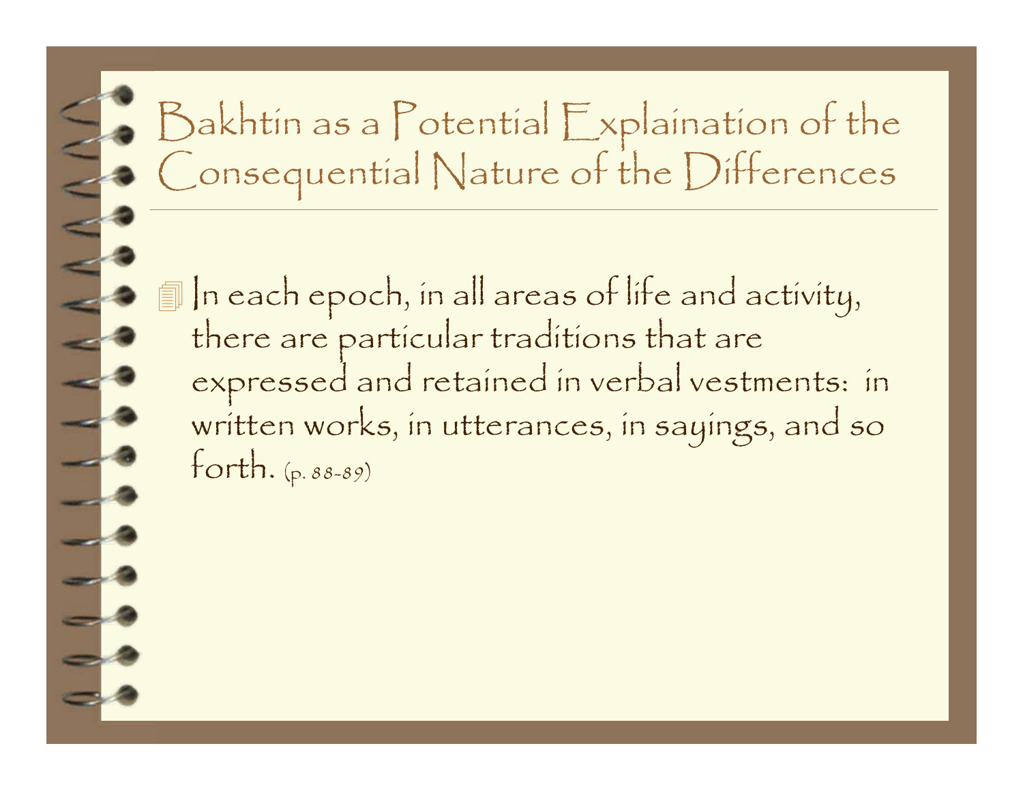# Bakhtin as a Potential Explaination of the Consequential Nature of the Differences

 In each epoch, in all areas of life and activity, there are particular traditions that are expressed and retained in verbal vestments: in written works, in utterances, in sayings, and so forth. (p. 88-89)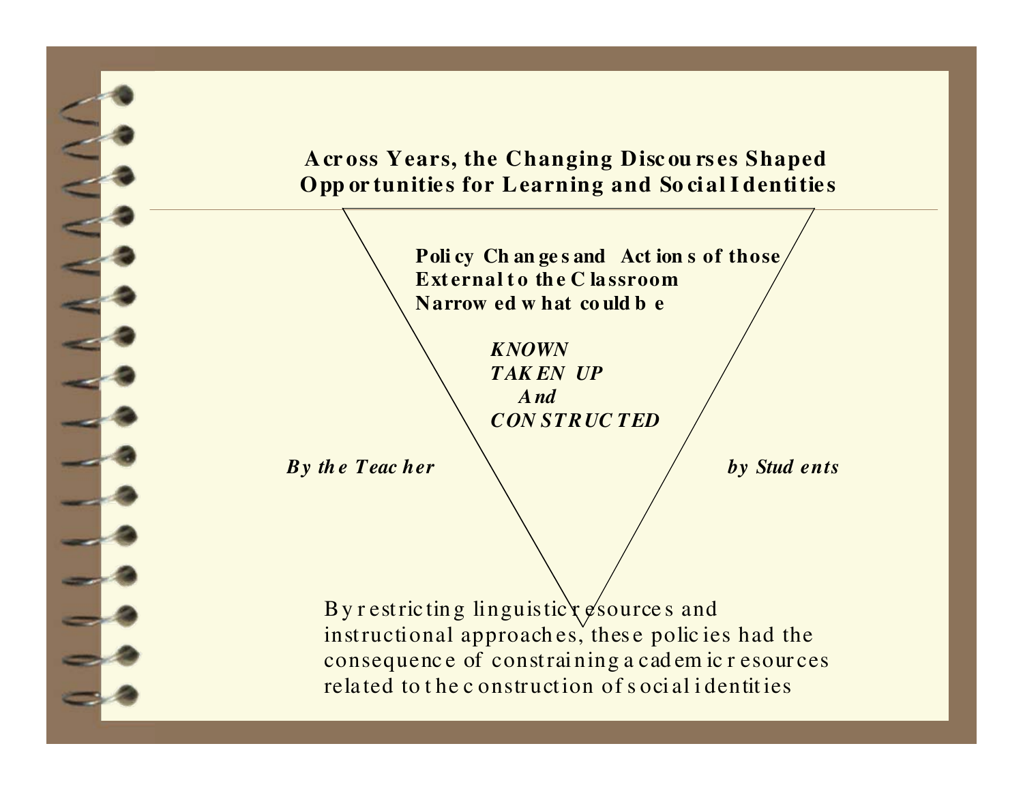**A cr oss Years, the Changing Disc ou rs es Shaped Opp or tunitie s for Learning and So ci al I dentitie <sup>s</sup>**

> **Poli cy Ch an ge s and Act ion s of those Ext ernal t o th e C la ssroomN arrow ed w hat co uld b e**

> > *KNOWNTAK EN UP A ndCON STRUC TED*

*By the Teacher*  $\setminus$  *by Stud ents* 

By r estric ting linguistic  $x \notin \mathcal{C}$  source s and instructional approaches, these policies had the consequenc e of constrai ning a cad em ic r esour ces rela ted to t he c onstruct ion of s oci al i dentit ies